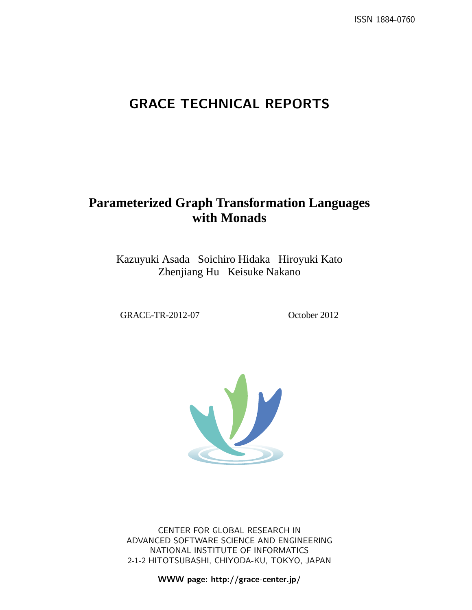# **GRACE TECHNICAL REPORTS**

# **Parameterized Graph Transformation Languages with Monads**

Kazuyuki Asada Soichiro Hidaka Hiroyuki Kato Zhenjiang Hu Keisuke Nakano

GRACE-TR-2012-07 October 2012



CENTER FOR GLOBAL RESEARCH IN ADVANCED SOFTWARE SCIENCE AND ENGINEERING NATIONAL INSTITUTE OF INFORMATICS 2-1-2 HITOTSUBASHI, CHIYODA-KU, TOKYO, JAPAN

**WWW page: http://grace-center.jp/**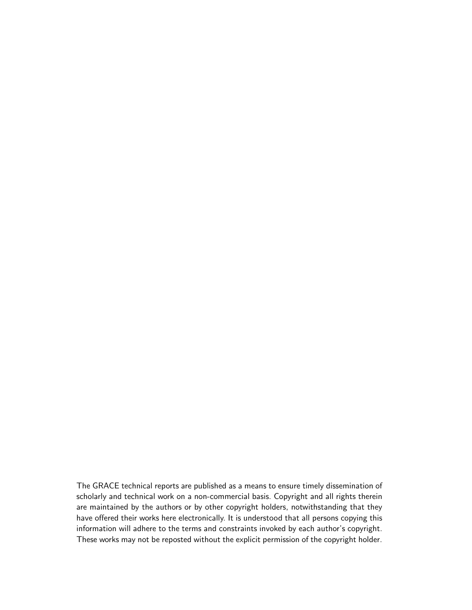The GRACE technical reports are published as a means to ensure timely dissemination of scholarly and technical work on a non-commercial basis. Copyright and all rights therein are maintained by the authors or by other copyright holders, notwithstanding that they have offered their works here electronically. It is understood that all persons copying this information will adhere to the terms and constraints invoked by each author's copyright. These works may not be reposted without the explicit permission of the copyright holder.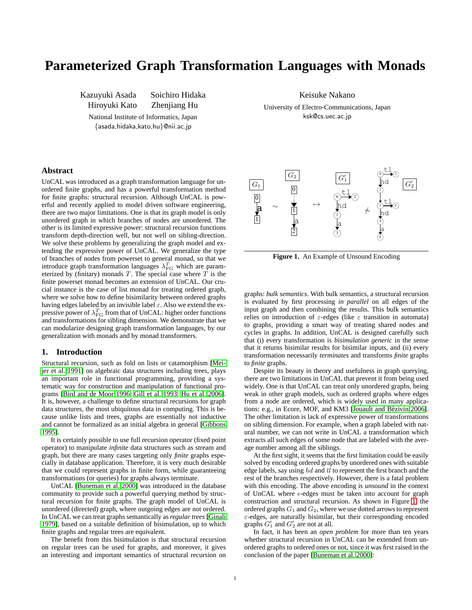# **Parameterized Graph Transformation Languages with Monads**

Kazuyuki Asada Soichiro Hidaka

Hiroyuki Kato Zhenjiang Hu

National Institute of Informatics, Japan *{*asada,hidaka,kato,hu*}*@nii.ac.jp

Keisuke Nakano University of Electro-Communications, Japan ksk@cs.uec.ac.jp

# **Abstract**

UnCAL was introduced as a graph transformation language for unordered finite graphs, and has a powerful transformation method for finite graphs: structural recursion. Although UnCAL is powerful and recently applied to model driven software engineering, there are two major limitations. One is that its graph model is only unordered graph in which branches of nodes are unordered. The other is its limited expressive power: structural recursion functions transform depth-direction well, but not well on sibling-direction. We solve these problems by generalizing the graph model and extending the expressive power of UnCAL. We generalize the type of branches of nodes from powerset to general monad, so that we introduce graph transformation languages  $\lambda_{\rm FG}^T$  which are parameterized by (finitary) monads  $T$ . The special case where  $\overline{T}$  is the finite powerset monad becomes an extension of UnCAL. Our crucial instance is the case of list monad for treating ordered graph, where we solve how to define bisimilarity between ordered graphs having edges labeled by an invisible label *ε*. Also we extend the expressive power of  $\lambda_{\rm FG}^T$  from that of UnCAL: higher order functions and transformations for sibling dimension. We demonstrate that we can modularize designing graph transformation languages, by our generalization with monads and by monad transformers.

## **1. Introduction**

Structural recursion, such as fold on lists or catamorphism [\[Mei](#page-20-0)[jer et al.](#page-20-0) [1991\]](#page-20-0) on algebraic data structures including trees, plays an important role in functional programming, providing a systematic way for construction and manipulation of functional programs [\[Bird and de Moor](#page-20-1) [1996;](#page-20-1) [Gill et al.](#page-20-2) [1993;](#page-20-2) [Hu et al.](#page-20-3) [2006\]](#page-20-3). It is, however, a challenge to define structural recursions for graph data structures, the most ubiquitous data in computing. This is because unlike lists and trees, graphs are essentially not inductive and cannot be formalized as an initial algebra in general [\[Gibbons](#page-20-4) [1995\]](#page-20-4).

It is certainly possible to use full recursion operator (fixed point operator) to manipulate *infinite* data structures such as stream and graph, but there are many cases targeting only *finite* graphs especially in database application. Therefore, it is very much desirable that we could represent graphs in finite form, while guaranteeing transformations (or queries) for graphs always terminate.

UnCAL [\[Buneman et al.](#page-20-5) [2000\]](#page-20-5) was introduced in the database community to provide such a powerful querying method by structural recursion for finite graphs. The graph model of UnCAL is unordered (directed) graph, where outgoing edges are not ordered. In UnCAL we can treat graphs semantically as *regular trees* [\[Ginali](#page-20-6) [1979\]](#page-20-6), based on a suitable definition of bisimulation, up to which finite graphs and regular trees are equivalent.

The benefit from this bisimulation is that structural recursion on regular trees can be used for graphs, and moreover, it gives an interesting and important semantics of structural recursion on



<span id="page-2-0"></span>**Figure 1.** An Example of Unsound Encoding

graphs: *bulk semantics*. With bulk semantics, a structural recursion is evaluated by first processing *in parallel* on all edges of the input graph and then combining the results. This bulk semantics relies on introduction of *ε*-edges (like *ε* transition in automata) to graphs, providing a smart way of treating shared nodes and cycles in graphs. In addition, UnCAL is designed carefully such that (i) every transformation is *bisimulation generic* in the sense that it returns bisimilar results for bisimilar inputs, and (ii) every transformation necessarily *terminates* and transforms *finite* graphs to *finite* graphs.

Despite its beauty in theory and usefulness in graph querying, there are two limitations in UnCAL that prevent it from being used widely. One is that UnCAL can treat only unordered graphs, being weak in other graph models, such as ordered graphs where edges from a node are ordered, which is widely used in many applica-tions: e.g., in Ecore, MOF, and KM3 [Jouault and Bézivin [2006\]](#page-20-7). The other limitation is lack of expressive power of transformations on sibling dimension. For example, when a graph labeled with natural number, we can not write in UnCAL a transformation which extracts all such edges of some node that are labeled with the average number among all the siblings.

At the first sight, it seems that the first limitation could be easily solved by encoding ordered graphs by unordered ones with suitable edge labels, say using *hd* and *tl* to represent the first branch and the rest of the branches respectively. However, there is a fatal problem with this encoding. The above encoding is *unsound* in the context of UnCAL where *ϵ*-edges must be taken into account for graph construction and structural recursion. As shown in Figure [1,](#page-2-0) the ordered graphs *G*<sup>1</sup> and *G*2, where we use dotted arrows to represent *ε*-edges, are naturally bisimilar, but their corresponding encoded graphs  $G'_1$  and  $G'_2$  are not at all.

In fact, it has been an *open problem* for more than ten years whether structural recursion in UnCAL can be extended from unordered graphs to ordered ones or not, since it was first raised in the conclusion of the paper [\[Buneman et al.](#page-20-5) [2000\]](#page-20-5):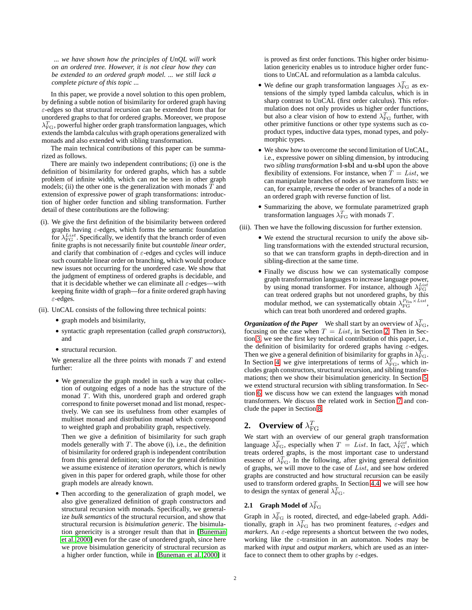*... we have shown how the principles of UnQL will work on an ordered tree. However, it is not clear how they can be extended to an ordered graph model. ... we still lack a complete picture of this topic ...*

In this paper, we provide a novel solution to this open problem, by defining a subtle notion of bisimilarity for ordered graph having *ε*-edges so that structural recursion can be extended from that for unordered graphs to that for ordered graphs. Moreover, we propose *λ T* FG, powerful higher order graph transformation languages, which extends the lambda calculus with graph operations generalized with monads and also extended with sibling transformation.

The main technical contributions of this paper can be summarized as follows.

There are mainly two independent contributions; (i) one is the definition of bisimilarity for ordered graphs, which has a subtle problem of infinite width, which can not be seen in other graph models; (ii) the other one is the generalization with monads  $T$  and extension of expressive power of graph transformations: introduction of higher order function and sibling transformation. Further detail of these contributions are the following:

- (i). We give the first definition of the bisimilarity between ordered graphs having *ε*-edges, which forms the semantic foundation for  $\lambda_{\text{FG}}^{List}$ . Specifically, we identify that the branch order of even finite graphs is not necessarily finite but *countable linear order*, and clarify that combination of *ε*-edges and cycles will induce such countable linear order on branching, which would produce new issues not occurring for the unordered case. We show that the judgment of emptiness of ordered graphs is decidable, and that it is decidable whether we can eliminate all *ε*-edges—with keeping finite width of graph—for a finite ordered graph having *ε*-edges.
- (ii). UnCAL consists of the following three technical points:
	- *•* graph models and bisimilarity,
	- *•* syntactic graph representation (called *graph constructors*), and
	- *•* structural recursion.

We generalize all the three points with monads *T* and extend further:

*•* We generalize the graph model in such a way that collection of outgoing edges of a node has the structure of the monad *T*. With this, unordered graph and ordered graph correspond to finite powerset monad and list monad, respectively. We can see its usefulness from other examples of multiset monad and distribution monad which correspond to weighted graph and probability graph, respectively.

Then we give a definition of bisimilarity for such graph models generally with  $T$ . The above  $(i)$ , i.e., the definition of bisimilarity for ordered graph is independent contribution from this general definition; since for the general definition we assume existence of *iteration operators*, which is newly given in this paper for ordered graph, while those for other graph models are already known.

*•* Then according to the generalization of graph model, we also give generalized definition of graph constructors and structural recursion with monads. Specifically, we generalize *bulk semantics* of the structural recursion, and show that structural recursion is *bisimulation generic*. The bisimulation genericity is a stronger result than that in [\[Buneman](#page-20-5) [et al.](#page-20-5) [2000\]](#page-20-5) even for the case of unordered graph, since here we prove bisimulation genericity of structural recursion as a higher order function, while in [\[Buneman et al.](#page-20-5) [2000\]](#page-20-5) it is proved as first order functions. This higher order bisimulation genericity enables us to introduce higher order functions to UnCAL and reformulation as a lambda calculus.

- We define our graph transformation languages  $\lambda_{\text{FG}}^T$  as extensions of the simply typed lambda calculus, which is in sharp contrast to UnCAL (first order calculus). This reformulation does not only provides us higher order functions, but also a clear vision of how to extend  $\lambda_{\text{FG}}^T$  further, with other primitive functions or other type systems such as coproduct types, inductive data types, monad types, and polymorphic types.
- We show how to overcome the second limitation of UnCAL, i.e., expressive power on sibling dimension, by introducing two *sibling transformation* **l**-**sbl** and **u**-**sbl** upon the above flexibility of extensions. For instance, when  $\overline{T} = List$ , we can manipulate branches of nodes as we transform lists: we can, for example, reverse the order of branches of a node in an ordered graph with reverse function of list.
- *•* Summarizing the above, we formulate parametrized graph transformation languages  $\lambda_{\text{FG}}^T$  with monads *T*.
- (iii). Then we have the following discussion for further extension.
	- We extend the structural recursion to unify the above sibling transformations with the extended structural recursion, so that we can transform graphs in depth-direction and in sibling-direction at the same time.
	- *•* Finally we discuss how we can systematically compose graph transformation languages to increase language power, by using monad transformer. For instance, although *λ List* FG can treat ordered graphs but not unordered graphs, by this modular method, we can systematically obtain  $\lambda_{FG}^{P_{fin} \times List}$ , which can treat both unordered and ordered graphs.

*Organization of the Paper* We shall start by an overview of  $\lambda_{\text{FG}}^T$ , focusing on the case when  $T = List$ , in Section [2.](#page-3-0) Then in Section [3,](#page-6-0) we see the first key technical contribution of this paper, i.e., the definition of bisimilarity for ordered graphs having *ε*-edges. Then we give a general definition of bisimilarity for graphs in  $\lambda_{\rm FG}^T$ . In Section [4,](#page-9-0) we give interpretations of terms of  $\lambda_{\text{FG}}^T$ , which includes graph constructors, structural recursion, and sibling transformations; then we show their bisimulation genericity. In Section [5,](#page-15-0) we extend structural recursion with sibling transformation. In Section [6,](#page-18-0) we discuss how we can extend the languages with monad transformers. We discuss the related work in Section [7](#page-19-0) and conclude the paper in Section [8.](#page-19-1)

# <span id="page-3-0"></span>**2.** Overview of  $\lambda_{\text{FG}}^T$

We start with an overview of our general graph transformation language  $\lambda_{\text{FG}}^T$ , especially when  $T = List$ . In fact,  $\lambda_{\text{FG}}^{List}$ , which treats ordered graphs, is the most important case to understand essence of  $\lambda_{\text{FG}}^T$ . In the following, after giving general definition of graphs, we will move to the case of *List*, and see how ordered graphs are constructed and how structural recursion can be easily used to transform ordered graphs. In Section [4.4,](#page-14-0) we will see how to design the syntax of general  $\lambda_{\text{FG}}^T$ .

# <span id="page-3-1"></span>**2.1** Graph Model of  $\lambda_{\text{FG}}^T$

Graph in  $\lambda_{\text{FG}}^T$  is rooted, directed, and edge-labeled graph. Additionally, graph in  $\lambda_{\rm FG}^T$  has two prominent features,  $\varepsilon$ *-edges* and *markers*. An *ε*-edge represents a shortcut between the two nodes, working like the *ε*-transition in an automaton. Nodes may be marked with *input* and *output markers*, which are used as an interface to connect them to other graphs by *ε*-edges.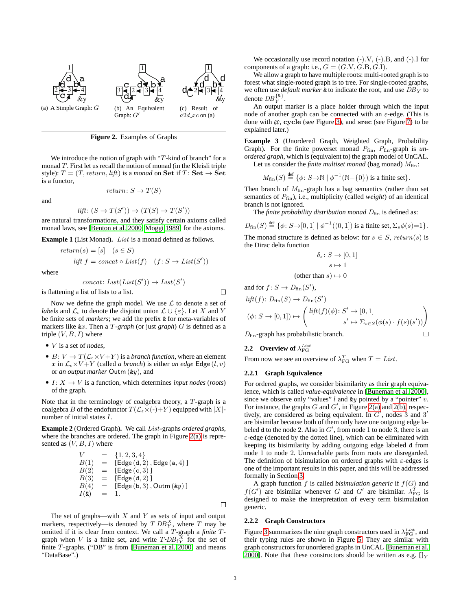<span id="page-4-0"></span>

<span id="page-4-5"></span><span id="page-4-1"></span>**Figure 2.** Examples of Graphs

We introduce the notion of graph with "*T*-kind of branch" for a monad *T*. First let us recall the notion of monad (in the Kleisli triple style):  $T = (T, return, lift)$  is a *monad* on **Set** if  $T:$  **Set**  $\rightarrow$  **Set** is a functor,

and

$$
return \colon S \to T(S)
$$

$$
lift: (S \to T(S')) \to (T(S) \to T(S'))
$$

are natural transformations, and they satisfy certain axioms called monad laws, see [\[Benton et al.](#page-20-8) [2000;](#page-20-8) [Moggi](#page-20-9) [1989\]](#page-20-9) for the axioms.

**Example 1** (List Monad)**.** *List* is a monad defined as follows.

$$
return(s) = [s] \quad (s \in S)
$$
  

$$
lift \ f = concat \circ List(f) \quad (f: S \to List(S'))
$$

where

$$
concat: List(List(S')) \rightarrow List(S')
$$

is flattening a list of lists to a list.

Now we define the graph model. We use *L* to denote a set of *labels* and  $\mathcal{L}_\epsilon$  to denote the disjoint union  $\mathcal{L} \cup \{\epsilon\}$ . Let X and Y be finite sets of *markers*; we add the prefix & for meta-variables of markers like &*x* . Then a *T-graph* (or just *graph*) *G* is defined as a triple (*V, B, I*) where

- *• V* is a set of *nodes*,
- $B: V \to T(\mathcal{L}_{\epsilon} \times V + Y)$  is a *branch function*, where an element *x* in  $\mathcal{L}_{\epsilon} \times V + Y$  (called *a branch*) is either *an edge* Edge (*l, v*) or *an output marker* Outm (&*y*), and
- $I: X \rightarrow V$  is a function, which determines *input nodes* (*roots*) of the graph.

Note that in the terminology of coalgebra theory, a *T*-graph is a coalgebra *B* of the endofunctor  $T(\mathcal{L}_{\epsilon} \times (-)+Y)$  equipped with  $|X|$ number of initial states *I*.

<span id="page-4-6"></span>**Example 2** (Ordered Graph)**.** We call *List*-graphs *ordered graphs*, where the branches are ordered. The graph in Figure [2\(a\)](#page-4-0) is represented as (*V, B, I*) where

$$
V = \{1, 2, 3, 4\}B(1) = [Edge(d, 2), Edge(a, 4)]B(2) = [Edge(c, 3)]B(3) = [Edge(d, 2)]B(4) = [Edge(b, 3), Outm (ky)]I(k) = 1.
$$

The set of graphs—with *X* and *Y* as sets of input and output markers, respectively—is denoted by  $T$ - $DB_Y^X$ , where  $T$  may be omitted if it is clear from context. We call a *T*-graph a *finite T*graph when *V* is a finite set, and write  $T$ - $DB$ <sub>f</sub> $_Y^X$  for the set of finite *T*-graphs. ("DB" is from [\[Buneman et al.](#page-20-5) [2000\]](#page-20-5) and means "DataBase".)

We occasionally use record notation (-)*.*V, (-)*.*B, and (-)*.*I for components of a graph: i.e.,  $G = (G.V, G.B, G.I)$ .

<span id="page-4-2"></span>d<br>forest what single-rooted graph is to tree. For single-rooted graphs,  $\&$  denote  $DB_Y^{\{\&\}}$ . We allow a graph to have multiple roots: multi-rooted graph is to we often use *default marker* & to indicate the root, and use  $DB<sub>Y</sub>$  to

An output marker is a place holder through which the input node of another graph can be connected with an *ε*-edge. (This is done with @, **cycle** (see Figure [3\)](#page-5-0), and **srec** (see Figure [7\)](#page-12-0) to be explained later.)

<span id="page-4-4"></span>**Example 3** (Unordered Graph, Weighted Graph, Probability Graph). For the finite powerset monad  $P_{fin}$ ,  $P_{fin}$ -graph is *unordered graph*, which is (equivalent to) the graph model of UnCAL. Let us consider the *finite multiset monad* (bag monad)  $M_{fin}$ :

$$
M_{\text{fin}}(S) \stackrel{\text{def}}{=} \{ \phi \colon S \to \mathbb{N} \mid \phi^{-1}(\mathbb{N} - \{0\}) \text{ is a finite set} \}.
$$

Then branch of *M*fin-graph has a bag semantics (rather than set semantics of  $P_{fin}$ ), i.e., multiplicity (called *weight*) of an identical branch is not ignored.

The *finite probability distribution monad*  $D_{fin}$  is defined as:

$$
D_{\text{fin}}(S) \stackrel{\text{def}}{=} \{ \phi \colon S \to [0,1] \mid \phi^{-1}((0,1]) \text{ is a finite set, } \Sigma_s \phi(s) = 1 \}.
$$

The monad structure is defined as below: for  $s \in S$ ,  $return(s)$  is the Dirac delta function

$$
\delta_s \colon S \to [0, 1]
$$

$$
s \mapsto 1
$$
  
than  $s \mapsto 0$ 

and for  $f: S \to D_{fin}(S')$ ,

 $\Box$ 

$$
lift(f) \colon D_{fin}(S) \to D_{fin}(S')
$$
  
\n
$$
(\phi \colon S \to [0,1]) \mapsto \begin{pmatrix} lift(f)(\phi) \colon S' \to [0,1] \\ s' \mapsto \sum_{s \in S} (\phi(s) \cdot f(s)(s')) \end{pmatrix}
$$
  
\n
$$
D_{fin}\text{-graph has probabilistic branch.} \qquad \Box
$$

*D*fin-graph has probabilistic branch.

(other than *s*) *7→* 0

# **2.2 Overview of** *λ List* FG

From now we see an overview of  $\lambda_{\text{FG}}^T$  when  $T = List$ .

## **2.2.1 Graph Equivalence**

For ordered graphs, we consider bisimilarity as their graph equivalence, which is called *value-equivalence* in [\[Buneman et al.](#page-20-5) [2000\]](#page-20-5), since we observe only "values" *l* and &*y* pointed by a "pointer" *v*. For instance, the graphs  $G$  and  $G'$ , in Figure [2\(a\)](#page-4-0) and [2\(b\),](#page-4-1) respectively, are considered as being equivalent. In *G ′* , nodes 3 and 3 *′* are bisimilar because both of them only have one outgoing edge labeled d to the node 2. Also in  $G'$ , from node 1 to node 3, there is an *ε*-edge (denoted by the dotted line), which can be eliminated with keeping its bisimilarity by adding outgoing edge labeled d from node 1 to node 2. Unreachable parts from roots are disregarded. The definition of bisimulation on ordered graphs with *ε*-edges is one of the important results in this paper, and this will be addressed formally in Section [3.](#page-6-0)

A graph function *f* is called *bisimulation generic* if *f*(*G*) and  $f(G')$  are bisimilar whenever *G* and *G*<sup>'</sup> are bisimilar.  $\lambda_{FG}^T$  is designed to make the interpretation of every term bisimulation generic.

#### <span id="page-4-3"></span>**2.2.2 Graph Constructors**

Figure [3](#page-5-0) summarizes the nine graph constructors used in  $\lambda_{\text{FG}}^{List}$ , and their typing rules are shown in Figure [5.](#page-5-1) They are similar with graph constructors for unordered graphs in UnCAL [\[Buneman et al.](#page-20-5) [2000\]](#page-20-5). Note that these constructors should be written as e.g.  $[]_Y$ 

 $\Box$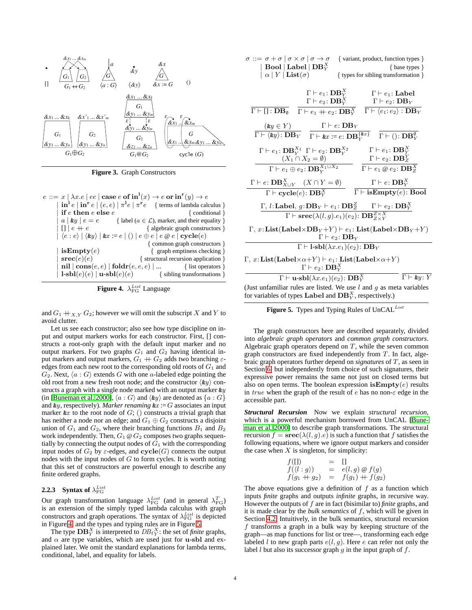

<span id="page-5-0"></span>**Figure 3.** Graph Constructors

| $e ::= x   \lambda x.e   ee   \case e \text{ of } \text{in}^1(x) \rightarrow e \text{ or } \text{in}^r(y) \rightarrow e$                                             |
|----------------------------------------------------------------------------------------------------------------------------------------------------------------------|
| $\int \mathbf{in}^{\mathbf{1}}e \mid \mathbf{in}^{\mathbf{r}}e \mid (e,e) \mid \pi^{\mathbf{1}}e \mid \pi^{\mathbf{r}}e \quad \{\text{ terms of lambda calculus }\}$ |
| { conditional }                                                                                                                                                      |
| { label ( $a \in \mathcal{L}$ ), marker, and their equality }                                                                                                        |
| { algebraic graph constructors }                                                                                                                                     |
| $  \langle e : e \rangle   \langle \mathbf{k} y \rangle   \mathbf{k} x := e   ()   e \oplus e   e \otimes e   \mathbf{cycle}(e)$                                     |
| { common graph constructors }                                                                                                                                        |
| { graph emptiness checking }                                                                                                                                         |
| { structural recursion application }                                                                                                                                 |
| <b>nil</b> $  \textbf{cons}(e, e)   \textbf{foldr}(e, e, e)   $ { list operators }                                                                                   |
| $\vert \mathbf{1}\text{-}sb\mathbf{l}(e)(e)\vert \mathbf{u}\text{-}sb\mathbf{l}(e)(e)$ { sibling transformations }                                                   |
|                                                                                                                                                                      |

<span id="page-5-2"></span>**Figure 4.**  $\lambda_{\text{FG}}^{List}$  Language

and  $G_1 +_{X,Y} G_2$ ; however we will omit the subscript X and Y to avoid clutter.

Let us see each constructor; also see how type discipline on input and output markers works for each constructor. First, [] constructs a root-only graph with the default input marker and no output markers. For two graphs  $G_1$  and  $G_2$  having identical input markers and output markers,  $G_1 + G_2$  adds two branching  $\varepsilon$ edges from each new root to the corresponding old roots of *G*<sup>1</sup> and *G*<sub>2</sub>. Next,  $\langle a : G \rangle$  extends *G* with one *a*-labeled edge pointing the old root from a new fresh root node; and the constructor *⟨*&*y⟩* constructs a graph with a single node marked with an output marker &*y* (in [\[Buneman et al.](#page-20-5) [2000\]](#page-20-5), *⟨a* : *G⟩* and *⟨*&*y⟩* are denoted as *{a* : *G}* and  $\&y$ , respectively). *Marker renaming*  $&x := G$  associates an input marker  $\&x$  to the root node of  $G$ ; () constructs a trivial graph that has neither a node nor an edge; and  $G_1 \oplus G_2$  constructs a disjoint union of  $G_1$  and  $G_2$ , where their branching functions  $B_1$  and  $B_2$ work independently. Then,  $G_1 \otimes G_2$  composes two graphs sequentially by connecting the output nodes of  $\overline{G}_1$  with the corresponding input nodes of  $G_2$  by  $\varepsilon$ -edges, and  $\mathbf{cycle}(G)$  connects the output nodes with the input nodes of *G* to form cycles. It is worth noting that this set of constructors are powerful enough to describe any finite ordered graphs.

# <span id="page-5-3"></span>**2.2.3** Syntax of  $\lambda_{\text{FG}}^{List}$

Our graph transformation language  $\lambda_{FG}^{List}$  (and in general  $\lambda_{FG}^{T}$ ) is an extension of the simply typed lambda calculus with graph constructors and graph operations. The syntax of  $\lambda_{\text{FG}}^{List}$  is depicted in Figure [4,](#page-5-2) and the types and typing rules are in Figure [5.](#page-5-1)

The type  $\mathbf{DB}_Y^X$  is interpreted to  $DB_f Y^X$ : the set of *finite* graphs, and  $\alpha$  are type variables, which are used just for **u-sbl** and explained later. We omit the standard explanations for lambda terms, conditional, label, and equality for labels.

| $\sigma ::= \sigma + \sigma \mid \sigma \times \sigma \mid \sigma \rightarrow \sigma$<br>$\mid$ Bool $\mid$ Label $\mid$ DB $_{Y}^{X}$<br>$  \alpha   Y  $ List $( \sigma )$                                   | { variant, product, function types }<br>$\{ \text{base types } \}$<br>{ types for sibling transformation }                                                                                                                                                               |
|----------------------------------------------------------------------------------------------------------------------------------------------------------------------------------------------------------------|--------------------------------------------------------------------------------------------------------------------------------------------------------------------------------------------------------------------------------------------------------------------------|
| $\Gamma \vdash e_1$ : DB $^X_Y$<br>$\Gamma \vdash e_2$ : DB <sup>X</sup><br>$\Gamma \vdash [] : DB_{\emptyset}$<br>$\Gamma\vdash e_1+e_2\colon\mathbf{DB}^X_Y$                                                 | $\Gamma \vdash e_1$ : Label<br>$\Gamma \vdash e_2 \colon \mathbf{DB}_Y$<br>$\Gamma \vdash \langle e_1 : e_2 \rangle : DB_Y$                                                                                                                                              |
|                                                                                                                                                                                                                | $\frac{(ky \in Y)}{\Gamma \vdash \langle ky \rangle: \mathbf{DB}_Y}$ $\frac{\Gamma \vdash e: \mathbf{DB}_Y}{\Gamma \vdash \&x := e: \mathbf{DB}_Y^{\{kx\}}}$ $\frac{\Gamma \vdash (\cdot; \mathbf{DB}_Y^{\emptyset})}{\Gamma \vdash (\cdot; \mathbf{DB}_Y^{\emptyset})}$ |
| $\Gamma \vdash e_1 \colon \mathbf{DB}_Y^{X_1} \ \Gamma \vdash e_2 \colon \mathbf{DB}_Y^{X_2}$<br>$(X_1 \cap X_2 = \emptyset)$<br>$\overline{\Gamma \vdash e_1 \oplus e_2 \colon \mathbf{DB}_Y^{X_1 \cup X_2}}$ | $\Gamma \vdash e_1$ : DB $^X$<br>$\Gamma \vdash e_2 \colon \mathbf{DB}^Y_Z$<br>$\Gamma \vdash e_1 \otimes e_2 \colon \overline{\mathbf{DB}^X_Z}$                                                                                                                         |
| $\Gamma \vdash e : \mathbf{DB}_{X \cup Y}^X \quad (X \cap Y = \emptyset)$<br>$\Gamma \vdash \mathbf{cycle}(e) \colon \mathbf{DB}^X_Y$                                                                          | $\Gamma \vdash e : \mathbf{DB}_Y^X$<br>$\Gamma \vdash \mathbf{isEmpty}(e)$ : Bool                                                                                                                                                                                        |
|                                                                                                                                                                                                                | $\Gamma$ , l: <b>Label</b> , $g:$ <b>DB</b> <sub>Y</sub> $\vdash$ $e_1:$ <b>DB</b> $Z$ <sup>Z</sup> $\Gamma \vdash e_2:$ <b>DB</b> $Y$ <sup>X</sup><br>$\Gamma \vdash \mathbf{srcc}(\lambda(l,g).e_1)(e_2) : \mathbf{DB}_{Z \times Y}^{Z \times X}$                      |
| $\Gamma, x:$ List(Label×DB <sub>Y</sub> +Y) $\vdash e_1$ : List(Label×DB <sub>Y</sub> +Y)<br>$\Gamma \vdash e_2$ : DB <sub>V</sub>                                                                             |                                                                                                                                                                                                                                                                          |
|                                                                                                                                                                                                                | $\Gamma \vdash \mathbf{l} \cdot \mathbf{sb}(\lambda x.e_1)(e_2)$ : $\mathbf{DB}_Y$                                                                                                                                                                                       |
| $(\Gamma, x:$ List(Label $\times \alpha + Y$ ) $\vdash e_1$ : List(Label $\times \alpha + Y$ )<br>$\Gamma \vdash e_2$ : DB $^X_Y$                                                                              |                                                                                                                                                                                                                                                                          |
| $\Gamma \vdash \mathbf{u}\text{-}\mathbf{b}\mathbf{l}(\lambda x.e_1)(e_2)$ : $\mathbf{DB}_Y^X$                                                                                                                 | $\Gamma \vdash \&y: Y$                                                                                                                                                                                                                                                   |
| (Just unfamiliar rules are listed. We use $l$ and $q$ as meta variables<br>for variables of types Label and $DB_Y^X$ , respectively.)                                                                          |                                                                                                                                                                                                                                                                          |

<span id="page-5-1"></span>**Figure 5.** Types and Typing Rules of UnCAL*List*

The graph constructors here are described separately, divided into *algebraic graph operators* and *common graph constructors*. Algebraic graph operators depend on *T*, while the seven common graph constructors are fixed independently from *T*. In fact, algebraic graph operators further depend on *signatures* of *T*, as seen in Section [6;](#page-18-0) but independently from choice of such signatures, their expressive power remains the same not just on closed terms but also on open terms. The boolean expression **isEmpty**(*e*) results in *true* when the graph of the result of *e* has no non-*ε* edge in the accessible part.

*Structural Recursion* Now we explain *structural recursion*, which is a powerful mechanism borrowed from UnCAL [\[Bune](#page-20-5)[man et al.](#page-20-5) [2000\]](#page-20-5) to describe graph transformations. The structural recursion  $f = \text{spec}(\lambda(l, g) \cdot e)$  is such a function that f satisfies the following equations, where we ignore output markers and consider the case when  $X$  is singleton, for simplicity:

$$
f(\Pi) = \Pi f(\langle l:g \rangle) = e(l,g) \circledast f(g) f(g_1 + g_2) = f(g_1) + f(g_2)
$$

<span id="page-5-4"></span>The above equations give a definition of *f* as a function which inputs *finite* graphs and outputs *infinite* graphs, in recursive way. However the outputs of *f* are in fact (bisimilar to) *finite* graphs, and it is made clear by the *bulk semantics* of *f*, which will be given in Section [4.2.](#page-12-1) Intuitively, in the bulk semantics, structural recursion *f* transforms a graph in a bulk way by keeping structure of the graph—as map functions for list or tree—, transforming each edge labeled *l* to new graph parts  $e(l, g)$ . Here *e* can refer not only the label *l* but also its successor graph *g* in the input graph of *f*.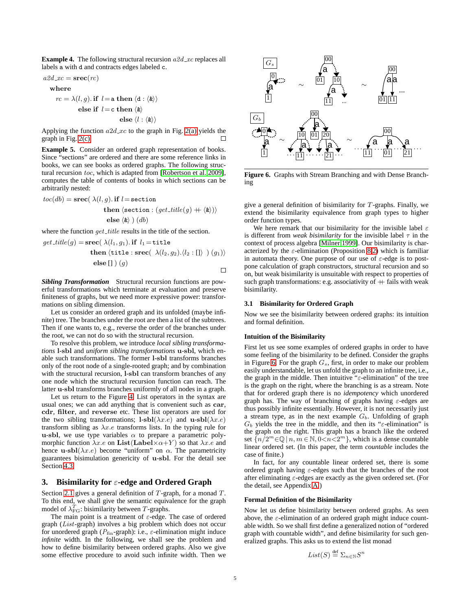**Example 4.** The following structural recursion *a2d xc* replaces all labels a with d and contracts edges labeled c.

$$
a2d\_xc = \mathbf{src}(rc)
$$

$$
\quad \text{where} \quad
$$

$$
rc = \lambda(l,g). \text{ if } l = \text{a then } \langle \text{d} : \langle \textbf{k} \rangle \rangle
$$
  
else if  $l = \text{c then } \langle \textbf{k} \rangle$   
else  $\langle l : \langle \textbf{k} \rangle \rangle$ 

Applying the function  $a2d$  *xc* to the graph in Fig. [2\(a\)](#page-4-0) yields the graph in Fig. [2\(c\).](#page-4-2)

**Example 5.** Consider an ordered graph representation of books. Since "sections" are ordered and there are some reference links in books, we can see books as ordered graphs. The following structural recursion *toc*, which is adapted from [\[Robertson et al.](#page-20-10) [2009\]](#page-20-10), computes the table of contents of books in which sections can be arbitrarily nested:

$$
toc(db) = \textbf{spec}(\ \lambda(l,g).\ \textbf{if}\ l = \texttt{section} \\\ \textbf{then}\ \langle \texttt{section} : (get\_title(g) + \langle \& \rangle) \rangle \\ \textbf{else}\ \langle \& \rangle\ )\ (db)
$$

where the function *get\_title* results in the title of the section.

*get.title(g)* = **srcc** 
$$
\lambda(l_1, g_1)
$$
. **if**  $l_1$  = **title**  
**then**  $\langle$ **title** : **srcc**  $\lambda(l_2, g_2)$ .  $\langle l_2 : [] \rangle$   $\rangle$   $(g_1) \rangle$   
**else**  $[]$   $\rangle$   $(g)$ 

*Sibling Transformation* Structural recursion functions are powerful transformations which terminate at evaluation and preserve finiteness of graphs, but we need more expressive power: transformations on sibling dimension.

Let us consider an ordered graph and its unfolded (maybe infinite) tree. The branches under the root are then a list of the subtrees. Then if one wants to, e.g., reverse the order of the branches under the root, we can not do so with the structural recursion.

To resolve this problem, we introduce *local sibling transformations* **l**-**sbl** and *uniform sibling transformations* **u**-**sbl**, which enable such transformations. The former **l**-**sbl** transforms branches only of the root node of a single-rooted graph; and by combination with the structural recursion, **l**-**sbl** can transform branches of any one node which the structural recursion function can reach. The latter **u**-**sbl** transforms branches uniformly of all nodes in a graph.

Let us return to the Figure [4.](#page-5-2) List operators in the syntax are usual ones; we can add anything that is convenient such as **car**, **cdr**, **filter**, and **reverse** etc. These list operators are used for the two sibling transformations;  $\mathbf{l}$ -**sbl**( $\lambda x.e$ ) and  $\mathbf{u}$ -**sbl**( $\lambda x.e$ ) transform sibling as *λx.e* transforms lists. In the typing rule for **u**-sbl, we use type variables  $\alpha$  to prepare a parametric polymorphic function  $\lambda x.e$  on **List**(**Label** $\times \alpha + Y$ ) so that  $\lambda x.e$  and hence **u**-sbl $(\lambda x.e)$  become "uniform" on  $\alpha$ . The parametricity guarantees bisimulation genericity of **u**-**sbl**. For the detail see Section [4.3.](#page-13-0)

# <span id="page-6-0"></span>**3. Bisimilarity for** *ε***-edge and Ordered Graph**

Section [2.1](#page-3-1) gives a general definition of *T*-graph, for a monad *T*. To this end, we shall give the semantic equivalence for the graph model of  $\lambda_{\text{FG}}^T$ : bisimilarity between *T*-graphs.

The main point is a treatment of *ε*-edge. The case of ordered graph (*List*-graph) involves a big problem which does not occur for unordered graph ( $P_{fin}$ -graph): i.e.,  $\varepsilon$ -elimination might induce *infinite* width. In the following, we shall see the problem and how to define bisimilarity between ordered graphs. Also we give some effective procedure to avoid such infinite width. Then we



<span id="page-6-1"></span>**Figure 6.** Graphs with Stream Branching and with Dense Branching

give a general definition of bisimilarity for *T*-graphs. Finally, we extend the bisimilarity equivalence from graph types to higher order function types.

We here remark that our bisimilarity for the invisible label *ε* is different from *weak bisimilarity* for the invisible label *τ* in the context of process algebra [\[Milner](#page-20-11) [1999\]](#page-20-11). Our bisimilarity is characterized by the *ε*-elimination (Proposition [8](#page-7-0)[.2\)](#page-7-1) which is familiar in automata theory. One purpose of our use of *ε*-edge is to postpone calculation of graph constructors, structural recursion and so on, but weak bisimilarity is unsuitable with respect to properties of such graph transformations: e.g. associativity of  $+$  fails with weak bisimilarity.

#### **3.1 Bisimilarity for Ordered Graph**

Now we see the bisimilarity between ordered graphs: its intuition and formal definition.

#### **Intuition of the Bisimilarity**

First let us see some examples of ordered graphs in order to have some feeling of the bisimilarity to be defined. Consider the graphs in Figure [6.](#page-6-1) For the graph *Gs*, first, in order to make our problem easily understandable, let us unfold the graph to an infinite tree, i.e., the graph in the middle. Then intuitive "*ε*-elimination" of the tree is the graph on the right, where the branching is as a stream. Note that for ordered graph there is no *idempotency* which unordered graph has. The way of branching of graphs having *ε*-edges are thus possibly infinite essentially. However, it is not necessarily just a stream type, as in the next example *Gb*. Unfolding of graph *G<sup>b</sup>* yields the tree in the middle, and then its "*ε*-elimination" is the graph on the right. This graph has a branch like the ordered set  $\{n/2^m \in \mathbb{Q} \mid n, m \in \mathbb{N}, 0 < n < 2^m\}$ , which is a dense countable linear ordered set. (In this paper, the term *countable* includes the case of finite.)

In fact, for any countable linear ordered set, there is some ordered graph having *ε*-edges such that the branches of the root after eliminating *ε*-edges are exactly as the given ordered set. (For the detail, see Appendix [A.](#page-21-0))

#### **Formal Definition of the Bisimilarity**

Now let us define bisimilarity between ordered graphs. As seen above, the *ε*-elimination of an ordered graph might induce countable width. So we shall first define a generalized notion of "ordered graph with countable width", and define bisimilarity for such generalized graphs. This asks us to extend the list monad

$$
List(S) \stackrel{\text{def}}{=} \Sigma_{n \in \mathbb{N}} S^n
$$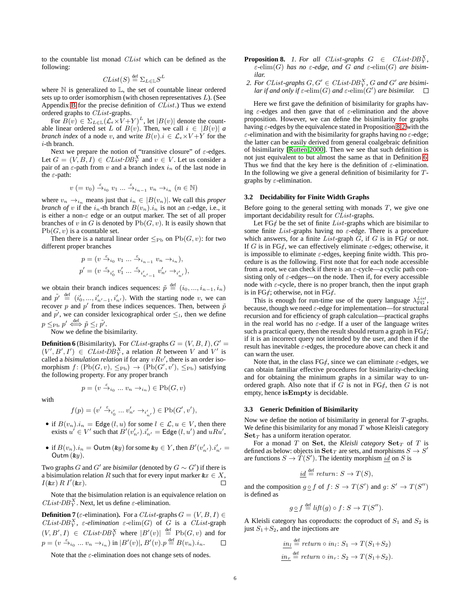to the countable list monad *CList* which can be defined as the following:

$$
Clist(S) \stackrel{\text{def}}{=} \Sigma_{L \in \mathbb{L}} S^L
$$

where  $\mathbb N$  is generalized to  $\mathbb L$ , the set of countable linear ordered sets up to order isomorphism (with chosen representatives *L*). (See Appendix [B](#page-21-1) for the precise definition of *CList*.) Thus we extend ordered graphs to *CList*-graphs.

For  $B(v) \in \Sigma_{L \in \mathbb{L}} (\mathcal{L}_{\epsilon} \times V + Y)^{L}$ , let  $|B(v)|$  denote the countable linear ordered set *L* of  $B(v)$ . Then, we call  $i \in |B(v)|$  *a branch index* of a node *v*, and write  $B(v)$ *.i*  $\in \mathcal{L}_{\epsilon} \times V + Y$  for the *i*-th branch.

Next we prepare the notion of "transitive closure" of *ε*-edges. Let  $G = (V, B, I) \in \text{Clist-DB}_Y^X$  and  $v \in V$ . Let us consider a pair of an *ε*-path from *v* and a branch index *i<sup>n</sup>* of the last node in the *ε*-path:

$$
v (= v_0) \xrightarrow{\varepsilon} i_0 v_1 \dots \xrightarrow{\varepsilon} i_{n-1} v_n \rightarrow_{i_n} (n \in \mathbb{N})
$$

where  $v_n \to_{i_n}$  means just that  $i_n \in |B(v_n)|$ . We call this *proper branch of v* if the  $i_n$ -th branch  $B(v_n)$ *.* $i_n$  is not an  $\varepsilon$ -edge, i.e., it is either a non-*ε* edge or an output marker. The set of all proper branches of  $v$  in  $G$  is denoted by  $Pb(G, v)$ . It is easily shown that  $Pb(G, v)$  is a countable set.

Then there is a natural linear order  $\leq_{\text{Pb}}$  on  $\text{Pb}(G, v)$ : for two different proper branches

$$
\begin{split} p &= (v\stackrel{\varepsilon}{\rightarrow}_{i_0} v_1 \ldots \stackrel{\varepsilon}{\rightarrow}_{i_{n-1}} v_n\rightarrow_{i_n}), \\ p' &= (v\stackrel{\varepsilon}{\rightarrow}_{i_0'} v'_1 \ldots \stackrel{\varepsilon}{\rightarrow}_{i_{n'-1}'} v'_{n'}\rightarrow_{i_{n'}'}), \end{split}
$$

we obtain their branch indices sequences:  $\tilde{p} \stackrel{\text{def}}{=} (i_0, ..., i_{n-1}, i_n)$ and  $\tilde{p'} \stackrel{\text{def}}{=} (i'_0, ..., i'_{n'-1}, i'_{n'})$ . With the starting node *v*, we can recover *p* and *p'* from these indices sequences. Then, between  $\tilde{p}$ and  $\tilde{p}'$ , we can consider lexicographical order  $\leq_l$ , then we define  $p \leq_{\text{Pb}} p' \stackrel{\text{def}}{\iff} \tilde{p} \leq_{l} \tilde{p'}.$ 

Now we define the bisimilarity.

<span id="page-7-2"></span>**Definition 6** (Bisimilarity). For *CList*-graphs  $G = (V, B, I), G'$  $(V', B', I') \in CList\text{-}DB_Y^X$ , a relation R between V and V' is called a *bisimulation relation* if for any  $vRv'$ , there is an order isomorphism  $f: (\text{Pb}(G, v), \leq_{\text{Pb}}) \rightarrow (\text{Pb}(G', v'), \leq_{\text{Pb}})$  satisfying the following property. For any proper branch

$$
p = (v \xrightarrow{\varepsilon}_{i_0} \dots v_n \to_{i_n}) \in \mathrm{Pb}(G, v)
$$

with

$$
f(p)=(v'\stackrel{\varepsilon}{\rightarrow}_{i'_0}\dots v'_{n'}\rightarrow_{i'_{n'}})\in\mathrm{Pb}(G',v'),
$$

- if  $B(v_n) \cdot i_n = \text{Edge}(l, u)$  for some  $l \in \mathcal{L}, u \in V$ , then there exists  $u' \in V'$  such that  $B'(v'_{n'}) . i'_{n'} = \textsf{Edge}(l, u')$  and  $uRu'$ ,
- if  $B(v_n) . i_n =$  Outm  $(ky)$  for some  $ky \in Y$ , then  $B'(v'_{n'}) . i'_{n'} =$ Outm (&*y*).

Two graphs *G* and *G'* are *bisimilar* (denoted by  $G \sim G'$ ) if there is a bisimulation relation *R* such that for every input marker  $\&x \in X$ , *I*(&*x* ) *R I′* (&*x* ). П

Note that the bisimulation relation is an equivalence relation on *CList*  $DB_Y^X$ . Next, let us define  $\varepsilon$ -elimination.

<span id="page-7-3"></span>**Definition 7** ( $\varepsilon$ -elimination). For a *CList*-graphs  $G = (V, B, I) \in$ *CList*  $DB_Y^X$ , *ε*-elimination *ε*-elim(*G*) of *G* is a *CList*-graph  $(V, B', I) \in CList$  *-DB*<sup>X</sup><sub>Y</sub></sup> where  $|B'(v)| \stackrel{\text{def}}{=} \text{Pb}(G, v)$  and for  $p = (v \stackrel{\varepsilon}{\rightarrow}_{i_0} ... v_n \rightarrow_{i_n})$  in  $|B'(v)|$ ,  $B'(v)$ ,  $p \stackrel{\text{def}}{=} B(v_n)$ . $i_n$ .

<span id="page-7-0"></span>Note that the *ε*-elimination does not change sets of nodes.

- **Proposition 8.** *1.* For all *CList*-graphs  $G \in CList\text{-}DB_Y^X$ , *ε-*elim(*G*) *has no ε-edge, and G and ε-*elim(*G*) *are bisimilar.*
- <span id="page-7-1"></span>2. For CList-graphs  $G, G' \in \text{Clist-DB}_Y^X$ ,  $G$  and  $G'$  are bisimi*lar if and only if*  $\varepsilon$ - $\text{elim}(G)$  *and*  $\varepsilon$ - $\text{elim}(G')$  *are bisimilar.*

Here we first gave the definition of bisimilarity for graphs having *ε*-edges and then gave that of *ε*-elimination and the above proposition. However, we can define the bisimilarity for graphs having *ε*-edges by the equivalence stated in Proposition [8](#page-7-0)[.2](#page-7-1) with the *ε*-elimination and with the bisimilarity for graphs having no *ε*-edge; the latter can be easily derived from general coalgebraic definition of bisimilarity [\[Rutten](#page-20-12) [2000\]](#page-20-12). Then we see that such definition is not just equivalent to but almost the same as that in Definition [6.](#page-7-2) Thus we find that the key here is the definition of *ε*-elimination. In the following we give a general definition of bisimilarity for *T*graphs by *ε*-elimination.

### <span id="page-7-4"></span>**3.2 Decidability for Finite Width Graphs**

Before going to the general setting with monads *T*, we give one important decidability result for *CList*-graphs.

Let FG*/ε* be the set of finite *List*-graphs which are bisimilar to some finite *List*-graphs having no *ε*-edge. There is a procedure which answers, for a finite *List*-graph *G*, if *G* is in FG*/ε* or not. If *G* is in FG $\notin$ , we can effectively eliminate  $\varepsilon$ -edges; otherwise, it is impossible to eliminate *ε*-edges, keeping finite width. This procedure is as the following. First note that for each node accessible from a root, we can check if there is an *ε*-cycle—a cyclic path consisting only of  $\varepsilon$ -edges—on the node. Then if, for every accessible node with  $\varepsilon$ -cycle, there is no proper branch, then the input graph is in FG*/ε*; otherwise, not in FG*/ε*.

This is enough for run-time use of the query language  $\lambda_{FG}^{List}$ , because, though we need *ε*-edge for implementation—for structural recursion and for efficiency of graph calculation—practical graphs in the real world has no  $\varepsilon$ -edge. If a user of the language writes such a practical query, then the result should return a graph in FG*/ε*; if it is an incorrect query not intended by the user, and then if the result has inevitable *ε*-edges, the procedure above can check it and can warn the user.

Note that, in the class  $FG\ell$ , since we can eliminate  $\varepsilon$ -edges, we can obtain familiar effective procedures for bisimilarity-checking and for obtaining the minimum graphs in a similar way to unordered graph. Also note that if  $G$  is not in  $FG$ <sub>*i*</sub>, then  $G$  is not empty, hence **isEmpty** is decidable.

### **3.3 Generic Definition of Bisimilarity**

Now we define the notion of bisimilarity in general for *T*-graphs. We define this bisimilarity for any monad *T* whose Kleisli category **Set***<sup>T</sup>* has a uniform iteration operator.

For a monad *T* on **Set**, the *Kleisli category*  $\textbf{Set}_T$  of *T* is defined as below: objects in  $\textbf{Set}_T$  are sets, and morphisms  $S \to S'$ are functions  $S \to \check{T}(S')$ . The identity morphism  $\underline{id}$  on *S* is

$$
\underline{id} \stackrel{\text{def}}{=} return \colon S \to T(S),
$$

and the composition  $g \circ f$  of  $f: S \to T(S')$  and  $g: S' \to T(S'')$ is defined as

$$
g \circ f \stackrel{\text{def}}{=} \text{lift}(g) \circ f \colon S \to T(S'').
$$

A Kleisli category has coproducts: the coproduct of  $S_1$  and  $S_2$  is just  $S_1 + S_2$ , and the injections are

$$
\underbrace{in_l}_{\mathcal{U}_r} \stackrel{\text{def}}{=} return \circ in_l: S_1 \to T(S_1 + S_2)
$$
\n
$$
\underbrace{in_r}_{\mathcal{I}} \stackrel{\text{def}}{=} return \circ in_r: S_2 \to T(S_1 + S_2).
$$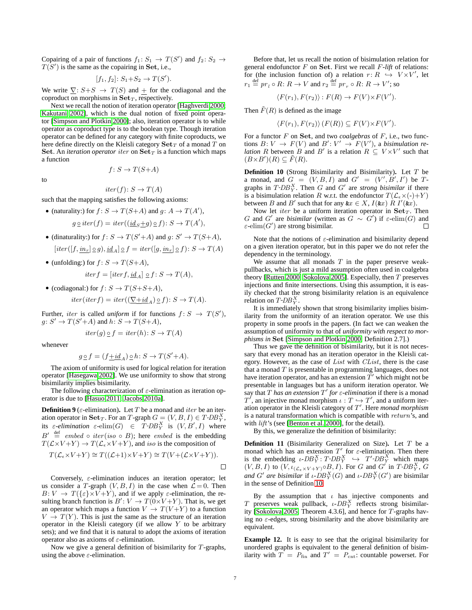Copairing of a pair of functions  $f_1: S_1 \rightarrow T(S')$  and  $f_2: S_2 \rightarrow$  $T(S')$  is the same as the copairing in **Set**, i.e.,

$$
[f_1, f_2] \colon S_1 + S_2 \to T(S').
$$

We write  $\nabla$ :  $S + S \rightarrow T(S)$  and + for the codiagonal and the coproduct on morphisms in  $Set_T$ , respectively.

Next we recall the notion of iteration operator [\[Haghverdi](#page-20-13) [2000;](#page-20-13) [Kakutani](#page-20-14) [2002\]](#page-20-14), which is the dual notion of fixed point operator [\[Simpson and Plotkin](#page-20-15) [2000\]](#page-20-15); also, iteration operator is to while operator as coproduct type is to the boolean type. Though iteration operator can be defined for any category with finite coproducts, we here define directly on the Kleisli category **Set***<sup>T</sup>* of a monad *T* on **Set**. An *iteration operator iter* on  $\textbf{Set}_T$  is a function which maps a function

$$
f_{\rm{max}}
$$

 $f: S \rightarrow T(S+A)$ 

to

$$
J \cdot \nu \rightarrow \mathbf{1} \, (\nu + 1)
$$

 $iter(f): S \rightarrow T(A)$ 

such that the mapping satisfies the following axioms:

- (naturality:) for  $f: S \to T(S+A)$  and  $g: A \to T(A')$ ,  $g \circ i \text{ter}(f) = \text{iter}((\text{id}_S + g) \circ f) \colon S \to T(A'),$
- (dinaturality:) for  $f: S \to T(S'+A)$  and  $g: S' \to T(S+A)$ ,  $[iter([f, in_r] \circ g), id_A] \circ f = iter([g, in_r] \circ f): S \to T(A)$
- (unfolding:) for  $f: S \to T(S+A)$ ,

$$
iterf = [iterf, \underline{id}_A] \supseteq f \colon S \to T(A),
$$

• (codiagonal:) for  $f: S \to T(S+S+A)$ ,  $iter(iter f) = iter((\nabla + id_A) \circ f) : S \to T(A).$ 

Further, *iter* is called *uniform* if for functions  $f: S \rightarrow T(S')$ ,  $g: S' \to T(S'+A)$  and  $h: S \to T(S+A)$ ,

$$
iter(g) \circ f = iter(h) \colon S \to T(A)
$$

whenever

$$
g\mathop{\underline{\circ}} f=(f\underline{+id}_A)\mathop{\underline{\circ}} h\colon S\to T(S'+A).
$$

The axiom of uniformity is used for logical relation for iteration operator [\[Hasegawa](#page-20-16) [2002\]](#page-20-16). We use uniformity to show that strong bisimilarity implies bisimilarity.

The following characterization of *ε*-elimination as iteration operator is due to [\[Hasuo](#page-20-17) [2011;](#page-20-17) [Jacobs](#page-20-18) [2010a\]](#page-20-18).

<span id="page-8-1"></span>**Definition 9** ( $\varepsilon$ -elimination). Let *T* be a monad and *iter* be an iteration operator in  $\textbf{Set}_T$ . For an *T*-graph  $G = (V, B, I) \in T$ -DB<sup>X</sup><sub>Y</sub>, its  $\varepsilon$ -elimination  $\varepsilon$ -elim $(G) \in T$ -DB<sup>X</sup><sub>Y</sub> is  $(V, B', I)$  where  $B' \stackrel{\text{def}}{=} \text{embed } \circ \text{iter}(\text{iso } \circ B);$  here *embed* is the embedding  $T(\mathcal{L} \times V + Y) \to T(\mathcal{L}_{\epsilon} \times V + Y)$ , and *iso* is the composition of

$$
T(\mathcal{L}_{\epsilon} \times V + Y) \cong T((\mathcal{L}+1) \times V + Y) \cong T(V + (\mathcal{L} \times V + Y)).
$$

Conversely, *ε*-elimination induces an iteration operator; let us consider a *T*-graph  $(V, B, I)$  in the case when  $\mathcal{L} = 0$ . Then  $B: V \to T({\{\varepsilon\} \times V + Y)}$ , and if we apply  $\varepsilon$ -elimination, the resulting branch function is  $B'$ :  $V \to T(0 \times V + Y)$ . That is, we get an operator which maps a function  $V \rightarrow T(V+Y)$  to a function  $V \to T(Y)$ . This is just the same as the structure of an iteration operator in the Kleisli category (if we allow *Y* to be arbitrary sets); and we find that it is natural to adopt the axioms of iteration operator also as axioms of *ε*-elimination.

Now we give a general definition of bisimilarity for *T*-graphs, using the above *ε*-elimination.

Before that, let us recall the notion of bisimulation relation for general endofunctor *F* on **Set**. First we recall *F-lift* of relations: for (the inclusion function of) a relation  $r: R \hookrightarrow V \times V'$ , let  $r_1 \stackrel{\text{def}}{=} pr_l \circ R \colon R \to V$  and  $r_2 \stackrel{\text{def}}{=} pr_r \circ R \colon R \to V'$ ; so

$$
\langle F(r_1), F(r_2) \rangle : F(R) \to F(V) \times F(V').
$$

Then  $\tilde{F}(R)$  is defined as the image

$$
\langle F(r_1), F(r_2) \rangle (F(R)) \subseteq F(V) \times F(V').
$$

For a functor *F* on **Set**, and two *coalgebras* of *F*, i.e., two functions  $B: V \to F(V)$  and  $B': V' \to F(V')$ , a *bisimulation relation R* between *B* and *B'* is a relation  $R \subseteq V \times V'$  such that  $(B \times B')(R) \subseteq \tilde{F}(R)$ .

<span id="page-8-0"></span>**Definition 10** (Strong Bisimilarity and Bisimilarity)**.** Let *T* be a monad, and  $G = (V, B, I)$  and  $G' = (V', B', I')$  be  $T$ graphs in  $T$ - $DB_Y^X$ . Then *G* and *G'* are *strong bisimilar* if there is a bisimulation relation *R* w.r.t. the endofunctor  $T(\mathcal{L}_{\epsilon} \times (-)+Y)$ between *B* and *B'* such that for any  $\&x \in X$ ,  $I(\&x)$  *R*  $I'(\&x)$ .

Now let *iter* be a uniform iteration operator in  $\textbf{Set}_T$ . Then *G* and *G'* are *bisimilar* (written as  $G \sim G'$ ) if  $\varepsilon$ -elim(*G*) and *ε*-elim(*G ′* ) are strong bisimilar. П

Note that the notions of *ε*-elimination and bisimilarity depend on a given iteration operator, but in this paper we do not refer the dependency in the terminology.

We assume that all monads *T* in the paper preserve weakpullbacks, which is just a mild assumption often used in coalgebra theory [\[Rutten](#page-20-12) [2000;](#page-20-12) [Sokolova](#page-20-19) [2005\]](#page-20-19). Especially, then *T* preserves injections and finite intersections. Using this assumption, it is easily checked that the strong bisimilarity relation is an equivalence relation on  $T$ - $DB_Y^X$ .

It is immediately shown that strong bisimilarity implies bisimilarity from the uniformity of an iteration operator. We use this property in some proofs in the papers. (In fact we can weaken the assumption of uniformity to that of *uniformity with respect to morphisms in* **Set** [\[Simpson and Plotkin](#page-20-15) [2000,](#page-20-15) Definition 2.7].)

Thus we gave the definition of bisimilarity, but it is not necessary that every monad has an iteration operator in the Kleisli category. However, as the case of *List* with *CList*, there is the case that a monad *T* is presentable in programming languages, does not have iteration operator, and has an extension  $\overline{T}'$  which might not be presentable in languages but has a uniform iteration operator. We say that *T has an extension T ′ for ε-elimination* if there is a monad *T*<sup>*'*</sup>, an injective monad morphism *ι* : *T*  $\hookrightarrow$  *T'*, and a uniform iteration operator in the Kleisli category of *T ′* . Here *monad morphism* is a natural transformation which is compatible with *return*'s, and with *lift*'s (see [\[Benton et al.](#page-20-8) [2000\]](#page-20-8), for the detail).

By this, we generalize the definition of bisimilarity:

**Definition 11** (Bisimilarity Generalized on Size)**.** Let *T* be a monad which has an extension  $T'$  for  $\varepsilon$ -elimination. Then there is the embedding  $\iota$ - $DB_Y^X$ :  $T$ - $DB_Y^X$   $\hookrightarrow$   $T'$ - $DB_Y^X$  which maps  $(V, B, I)$  to  $(V, \iota_{(\mathcal{L}_{\epsilon} \times V + Y)} \circ B, I)$ . For *G* and *G*<sup> $\prime$ </sup> in *T*-*DB*<sup>*X*</sup><sub>*Y*</sub>, *G and G'* are bisimilar if *ι*- $DB_Y^X(G)$  and *ι*- $DB_Y^X(G')$  are bisimilar in the sense of Definition [10.](#page-8-0)

By the assumption that *ι* has injective components and *T* preserves weak pullback, *ι*-*DB<sup>X</sup> <sup>Y</sup>* reflects strong bisimilarity [\[Sokolova](#page-20-19) [2005,](#page-20-19) Theorem 4.3.6], and hence for *T*-graphs having no *ε*-edges, strong bisimilarity and the above bisimilarity are equivalent.

**Example 12.** It is easy to see that the original bisimilarity for unordered graphs is equivalent to the general definition of bisimilarity with  $T = P_{fin}$  and  $T' = P_{crit}$ : countable powerset. For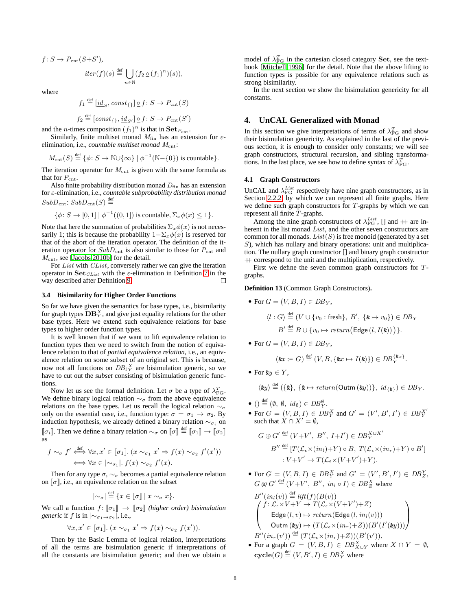$f: S \to P_{\text{cnt}}(S+S'),$ 

$$
iter(f)(s) \stackrel{\text{def}}{=} \bigcup_{n \in \mathbb{N}} (f_2 \,\underline{\circ}\,(f_1)^n)(s)),
$$

where

$$
f_1 \stackrel{\text{def}}{=} \underbrace{id_S, const}_{\{\}\big) \supseteq f : S \to P_{\text{cnt}}(S)
$$

$$
f_2 \stackrel{\text{def}}{=} [const_{\{ \}}, \underline{id}_{S'}] \circ f \colon S \to P_{\text{cnt}}(S')
$$

and the *n*-times composition  $(f_1)^n$  is that in  $\textbf{Set}_{P_{\text{cnt}}}$ .

Similarly, finite multiset monad *M*fin has an extension for *ε*elimination, i.e., *countable multiset monad M*cnt:

 $M_{\text{cnt}}(S) \stackrel{\text{def}}{=} {\phi : S \to \mathbb{N} \cup {\infty} \} \mid \phi^{-1}(\mathbb{N} - {\{0\}})$  is countable}.

The iteration operator for  $M_{\text{cnt}}$  is given with the same formula as that for  $P_{\rm cnt}.$ 

Also finite probability distribution monad  $D<sub>fin</sub>$  has an extension for *ε*-elimination, i.e., *countable subprobability distribution monad*  $SubD_{\text{cnt}}$ :  $SubD_{\text{cnt}}(S) \stackrel{\text{def}}{=}$ 

$$
\{\phi \colon S \to [0,1] \mid \phi^{-1}((0,1]) \text{ is countable}, \Sigma_x \phi(x) \le 1\}.
$$

Note that here the summation of probabilities  $\Sigma_x \phi(x)$  is not necessarily 1; this is because the probability  $1-\sum_{x} \phi(x)$  is reserved for that of the abort of the iteration operator. The definition of the iteration operator for  $SubD<sub>cnt</sub>$  is also similar to those for  $P<sub>cnt</sub>$  and  $M<sub>cnt</sub>$ , see [\[Jacobs](#page-20-20) [2010b\]](#page-20-20) for the detail.

For *List* with *CList*, conversely rather we can give the iteration operator in **Set***CList* with the *ε*-elimination in Definition [7](#page-7-3) in the way described after Definition [9.](#page-8-1) П

# **3.4 Bisimilarity for Higher Order Functions**

So far we have given the semantics for base types, i.e., bisimilarity for graph types  $\mathbf{DB}^X_Y,$  and give just equality relations for the other base types. Here we extend such equivalence relations for base types to higher order function types.

It is well known that if we want to lift equivalence relation to function types then we need to switch from the notion of equivalence relation to that of *partial equivalence relation*, i.e., an equivalence relation on some subset of an original set. This is because, now not all functions on  $DB_f Y$  are bisimulation generic, so we have to cut out the *subset* consisting of bisimulation generic functions.

Now let us see the formal definition. Let  $\sigma$  be a type of  $\lambda_{\text{FG}}^T$ . We define binary logical relation *∼<sup>σ</sup>* from the above equivalence relations on the base types. Let us recall the logical relation  $\sim_{\sigma}$ only on the essential case, i.e., function type:  $\sigma = \sigma_1 \rightarrow \sigma_2$ . By induction hypothesis, we already defined a binary relation  $\sim_{\sigma_i}$  on  $[\![\sigma_i]\!]$ . Then we define a binary relation  $\sim_{\sigma}$  on  $[\![\sigma]\!] \stackrel{\text{def}}{=} [\![\sigma_1]\!] \to [\![\sigma_2]\!]$ as

$$
f \sim_{\sigma} f' \stackrel{\text{def}}{\iff} \forall x, x' \in [\![\sigma_1]\!]. \ (x \sim_{\sigma_1} x' \Rightarrow f(x) \sim_{\sigma_2} f'(x'))
$$

$$
\iff \forall x \in [\sim_{\sigma_1}]. \ f(x) \sim_{\sigma_2} f'(x).
$$

Then for any type  $\sigma$ ,  $\sim_{\sigma}$  becomes a partial equivalence relation on  $[\![\sigma]\!]$ , i.e., an equivalence relation on the subset

$$
|\mathbb{1}_{\sigma}|\stackrel{\text{def}}{=} \{x \in \llbracket \sigma \rrbracket \mid x \sim_{\sigma} x\}.
$$

We call a function  $f: [\![\sigma_1]\!] \to [\![\sigma_2]\!]$  *(higher order) bisimulation generic* if *f* is in  $|∼_{\sigma_1 \rightarrow \sigma_2}|$ , i.e.,

$$
\forall x, x' \in [\![\sigma_1]\!]. \ (x \sim_{\sigma_1} x' \Rightarrow f(x) \sim_{\sigma_2} f(x')).
$$

Then by the Basic Lemma of logical relation, interpretations of all the terms are bisimulation generic if interpretations of all the constants are bisimulation generic; and then we obtain a

model of  $\lambda_{\text{FG}}^T$  in the cartesian closed category **Set**, see the textbook [\[Mitchell](#page-20-21) [1996\]](#page-20-21) for the detail. Note that the above lifting to function types is possible for any equivalence relations such as strong bisimilarity.

In the next section we show the bisimulation genericity for all constants.

# <span id="page-9-0"></span>**4. UnCAL Generalized with Monad**

In this section we give interpretations of terms of  $\lambda_{\text{FG}}^T$  and show their bisimulation genericity. As explained in the last of the previous section, it is enough to consider only constants; we will see graph constructors, structural recursion, and sibling transformations. In the last place, we see how to define syntax of  $\lambda_{\text{FG}}^T$ .

### **4.1 Graph Constructors**

UnCAL and  $\lambda_{FG}^{List}$  respectively have nine graph constructors, as in Section [2.2.2,](#page-4-3) by which we can represent all finite graphs. Here we define such graph constructors for *T*-graphs by which we can represent all finite *T*-graphs.

Among the nine graph constructors of  $\lambda_{FG}^{List}$ , [] and  $+$  are inherent in the list monad *List*, and the other seven constructors are common for all monads.  $List(S)$  is free monoid (generated by a set *S*), which has nullary and binary operations: unit and multiplication. The nullary graph constructor [] and binary graph constructor  $+$  correspond to the unit and the multiplication, respectively.

First we define the seven common graph constructors for *T*graphs.

#### **Definition 13** (Common Graph Constructors)**.**

- For  $G = (V, B, I) \in DB_Y$ ,  $\langle l : G \rangle \stackrel{\text{def}}{=} (V \cup \{v_0 : \text{fresh}\}, B', \{k \mapsto v_0\}) \in DB_Y$  $B' \stackrel{\text{def}}{=} B \cup \{v_0 \mapsto return(\text{Edge}(l, I(\&)))\}.$
- For  $G = (V, B, I) \in DB_Y$ ,

$$
(\&x := G) \stackrel{\text{def}}{=} (V, B, \{ \&x \mapsto I(\&); ) \in DB_Y^{\{\&x\}}.
$$

*•* For &*y ∈ Y* ,

$$
\langle \mathbf{\&} y \rangle \stackrel{\text{def}}{=} (\{\mathbf{\&}, \{\mathbf{\&} \mapsto return(Output \mathbf{m}(\mathbf{\&} y))\}, \ id_{\{\mathbf{\&}\}}) \in DB_Y.
$$

- ( $\theta \equiv (\emptyset, \emptyset, id_{\emptyset}) \in DB_Y^{\emptyset}$ .
- For  $G = (V, B, I) \in DB_Y^X$  and  $G' = (V', B', I') \in DB_Y^{X'}$ such that  $\hat{X} \cap X' = \emptyset$ ,

$$
G \oplus G' \stackrel{\text{def}}{=} (V + V', B'', I + I') \in DB_Y^{X \cup X'}
$$

$$
B'' \stackrel{\text{def}}{=} [T(\mathcal{L}_{\epsilon} \times (in_l) + Y) \circ B, T(\mathcal{L}_{\epsilon} \times (in_r) + Y) \circ B']
$$

$$
: V + V' \to T(\mathcal{L}_{\epsilon} \times (V + V') + Y).
$$

• For  $G = (V, B, I) \in DB_Y^X$  and  $G' = (V', B', I') \in DB_Z^Y$ ,  $G \otimes G' \stackrel{\text{def}}{=} (V + V', B'', in_l \circ I) \in DB^X_Z$  where

$$
B''(in_l(v)) \stackrel{\text{def}}{=} \text{lift}(f)(B(v))
$$
  
\n
$$
\begin{pmatrix}\nf: \mathcal{L}_{\epsilon} \times V + Y \to T(\mathcal{L}_{\epsilon} \times (V + V') + Z) \\
\text{Edge}(l, v) \mapsto return(\text{Edge}(l, in_l(v))) \\
\text{Outm}(\text{ky}) \mapsto (T(\mathcal{L}_{\epsilon} \times (in_r) + Z))(B'(I'(\text{ky})))\n\end{pmatrix}
$$
  
\n
$$
B''(in_r(v')) \stackrel{\text{def}}{=} (T(\mathcal{L}_{\epsilon} \times (in_r) + Z))(B'(v')).
$$

• For a graph  $G = (V, B, I) \in DB_{X \cup Y}^X$  where  $X \cap Y = \emptyset$ ,  $\mathbf{cycle}(G) \stackrel{\text{def}}{=} (V, B', I) \in DB_Y^X$  where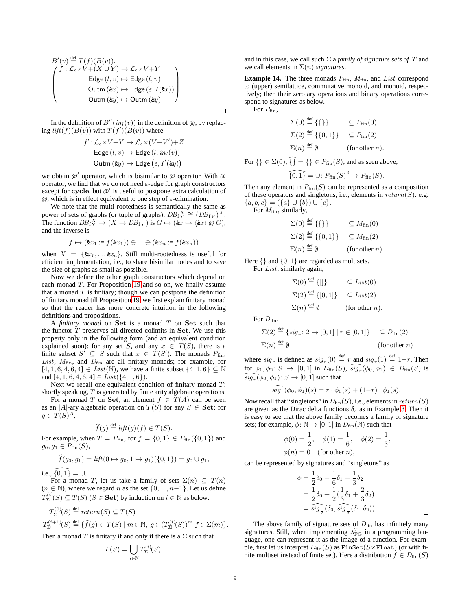$$
B'(v) \stackrel{\text{def}}{=} T(f)(B(v)).
$$
  

$$
\begin{pmatrix} f : \mathcal{L}_{\epsilon} \times V + (X \cup Y) \to \mathcal{L}_{\epsilon} \times V + Y \\ \text{Edge}(l, v) \mapsto \text{Edge}(l, v) \\ \text{Outm}(\&x) \mapsto \text{Edge}(\varepsilon, I(\&x)) \\ \text{Outm}(\&y) \mapsto \text{Outm}(\&y) \end{pmatrix}
$$

In the definition of  $B''(in_l(v))$  in the definition of  $\omega$ , by replac- $\int$  *lift*(*f*)(*B*(*v*)) with  $T(f')$ (*B*(*v*)) where

$$
f' : \mathcal{L}_{\epsilon} \times V + Y \to \mathcal{L}_{\epsilon} \times (V + V') + Z
$$
  
Edge  $(l, v) \mapsto$  Edge  $(l, in_l(v))$   
Outm  $(\&y) \mapsto$  Edge  $(\varepsilon, I'(\&y))$ 

we obtain @ *′* operator, which is bisimilar to @ operator. With @ operator, we find that we do not need *ε*-edge for graph constructors except for **cycle**, but @ *′* is useful to postpone extra calculation of @, which is in effect equivalent to one step of *ε*-elimination.

We note that the multi-rootedness is semantically the same as power of sets of graphs (or tuple of graphs):  $DB_f^X \cong (DB_f)^X$ . The function  $DB_f^X \to (X \to DB_{fY})$  is  $G \mapsto (\&x \mapsto \langle \&x \rangle \otimes G)$ , and the inverse is

$$
f \mapsto (\& x_1 := f(\& x_1)) \oplus \ldots \oplus (\& x_n := f(\& x_n))
$$

when  $X = \{ \& x_1, ..., \& x_n \}.$  Still multi-rootedness is useful for efficient implementation, i.e., to share bisimilar nodes and to save the size of graphs as small as possible.

Now we define the other graph constructors which depend on each monad *T*. For Proposition [19](#page-11-0) and so on, we finally assume that a monad  $T$  is finitary; though we can postpone the definition of finitary monad till Proposition [19,](#page-11-0) we first explain finitary monad so that the reader has more concrete intuition in the following definitions and propositions.

A *finitary monad* on **Set** is a monad *T* on **Set** such that the functor *T* preserves all directed colimits in **Set**. We use this property only in the following form (and an equivalent condition explained soon): for any set *S*, and any  $x \in T(S)$ , there is a finite subset  $S' \subseteq S$  such that  $x \in T(S')$ . The monads  $P_{fin}$ , List,  $M_{fin}$ , and  $D_{fin}$  are all finitary monads; for example, for [4*,* 1*,* 6*,* 4*,* 6*,* 4] *∈ List*(N), we have a finite subset *{*4*,* 1*,* 6*} ⊆* N and [4*,* 1*,* 6*,* 4*,* 6*,* 4] *∈ List*(*{*4*,* 1*,* 6*}*).

Next we recall one equivalent condition of finitary monad *T*: shortly speaking, *T* is generated by finite arity algebraic operations.

For a monad *T* on **Set**, an element  $f \in T(A)$  can be seen as an  $|A|$ -ary algebraic operation on  $T(S)$  for any  $S \in$  **Set**: for  $g \in T(S)^A$ ,

$$
\widehat{f}(g) \stackrel{\text{def}}{=} \text{lift}(g)(f) \in T(S).
$$

For example, when  $T = P_{fin}$ , for  $f = \{0, 1\} \in P_{fin}(\{0, 1\})$  and *g*<sub>0</sub>*, g*<sub>1</sub>  $∈$   $P_{fin}(S)$ ,

$$
\widehat{f}(g_0, g_1) = \text{lift}(0 \mapsto g_0, 1 \mapsto g_1)(\{0, 1\}) = g_0 \cup g_1,
$$

*i.e.*,  $\{0, 1\} = ∪$ .

For a monad *T*, let us take a family of sets  $\Sigma(n) \subseteq T(n)$ ( $n \in \mathbb{N}$ ), where we regard  $n$  as the set {0, ...,  $n-1$ }. Let us define  $T_{\Sigma}^{(i)}(S) \subseteq T(S)$  (*S*  $\in$  **Set**) by induction on  $i \in \mathbb{N}$  as below:

$$
T_{\Sigma}^{(0)}(S) \stackrel{\text{def}}{=} return(S) \subseteq T(S)
$$
  
\n
$$
T_{\Sigma}^{(i+1)}(S) \stackrel{\text{def}}{=} \{\hat{f}(g) \in T(S) \mid m \in \mathbb{N}, g \in (T_{\Sigma}^{(i)}(S))^{m} f \in \Sigma(m)\}.
$$
  
\nThen a monad T is finitary if and only if there is a  $\Sigma$  such that

Then a monad *T* is finitary if and only if there is a  $\Sigma$  such that

$$
T(S) = \bigcup_{i \in \mathbb{N}} T_{\Sigma}^{(i)}(S),
$$

and in this case, we call such  $\Sigma$  a *family of signature sets of*  $T$  and we call elements in  $\Sigma(n)$  *signatures*.

<span id="page-10-0"></span>**Example 14.** The three monads  $P_{fin}$ ,  $M_{fin}$ , and *List* correspond to (upper) semilattice, commutative monoid, and monoid, respectively; then their zero ary operations and binary operations correspond to signatures as below.

For  $P_{fin}$ ,

 $\Box$ 

$$
\Sigma(0) \stackrel{\text{def}}{=} \{ \{ \} \} \qquad \subseteq P_{\text{fin}}(0)
$$
  

$$
\Sigma(2) \stackrel{\text{def}}{=} \{ \{ 0, 1 \} \} \qquad \subseteq P_{\text{fin}}(2)
$$
  

$$
\Sigma(n) \stackrel{\text{def}}{=} \emptyset \qquad \text{(for other } n\text{).}
$$

For  $\{ \} \in \Sigma(0)$ ,  $\widehat{\{ \}} = \{ \} \in P_{\text{fin}}(S)$ , and as seen above,

$$
\widehat{\{0,1\}} = \cup: P_{\text{fin}}(S)^2 \to P_{\text{fin}}(S).
$$

Then any element in  $P_{fin}(S)$  can be represented as a composition of these operators and singletons, i.e., elements in *return*(*S*): e.g. *{a, b, c}* = (*{a} ∪ {b}*) *∪ {c}*.

For  $M_{\text{fin}}$ , similarly,

 $\Sigma(0) \stackrel{\text{def}}{=} \{\{\}\}\$   $\subset M_{fin}(0)$  $\Sigma(2) \stackrel{\text{def}}{=} \{ \{0, 1\} \}$   $\subseteq M_{fin}(2)$  $\Sigma(n) \stackrel{\text{def}}{=} \emptyset$  $($ for other *n* $)$ .

Here *{}* and *{*0*,* 1*}* are regarded as multisets. For *List*, similarly again,

$$
\Sigma(0) \stackrel{\text{def}}{=} \{[] \} \qquad \subseteq List(0)
$$
  

$$
\Sigma(2) \stackrel{\text{def}}{=} \{ [0, 1] \} \qquad \subseteq List(2)
$$
  

$$
\Sigma(n) \stackrel{\text{def}}{=} \emptyset \qquad \text{(for other } n).
$$

For  $D_{fin}$ ,

$$
\Sigma(2) \stackrel{\text{def}}{=} \{ sig_r : 2 \to [0, 1] \mid r \in [0, 1] \} \quad \subseteq D_{fin}(2)
$$
  

$$
\Sigma(n) \stackrel{\text{def}}{=} \emptyset \qquad \text{(for other } n)
$$

where  $sig_r$  is defined as  $sig_r(0) \stackrel{\text{def}}{=} r$  and  $sig_r(1) \stackrel{\text{def}}{=} 1-r$ . Then  $\overline{\text{for } \phi_1, \phi_2 \colon S} \rightarrow [0,1] \text{ in } D_{\text{fin}}(S), \text{ sig}_r(\phi_0, \phi_1) \in D_{\text{fin}}(S) \text{ is}$  $sig_r(\phi_0, \phi_1)$ :  $S \to [0, 1]$  such that

$$
\widehat{sig_r}(\phi_0, \phi_1)(s) = r \cdot \phi_0(s) + (1-r) \cdot \phi_1(s).
$$

Now recall that "singletons" in  $D_{fin}(S)$ , i.e., elements in  $return(S)$ are given as the Dirac delta functions  $\delta_s$  as in Example [3.](#page-4-4) Then it is easy to see that the above family becomes a family of signature sets; for example,  $\phi \colon \mathbb{N} \to [0, 1]$  in  $D_{fin}(\mathbb{N})$  such that

$$
\phi(0) = \frac{1}{2}, \quad \phi(1) = \frac{1}{6}, \quad \phi(2) = \frac{1}{3},
$$
  

$$
\phi(n) = 0 \quad \text{(for other } n),
$$

can be represented by signatures and "singletons" as

$$
\phi = \frac{1}{2}\delta_0 + \frac{1}{6}\delta_1 + \frac{1}{3}\delta_2 \n= \frac{1}{2}\delta_0 + \frac{1}{2}(\frac{1}{3}\delta_1 + \frac{2}{3}\delta_2) \n= \widehat{sig_{\frac{1}{2}}}(\delta_0, \widehat{sig_{\frac{1}{3}}}(\delta_1, \delta_2)).
$$

The above family of signature sets of  $D<sub>fin</sub>$  has infinitely many signatures. Still, when implementing  $\lambda_{\rm FG}^T$  in a programming language, one can represent it as the image of a function. For example, first let us interpret  $D_{fin}(S)$  as FinSet( $S \times$ Float) (or with finite multiset instead of finite set). Here a distribution  $f \in D_{fin}(S)$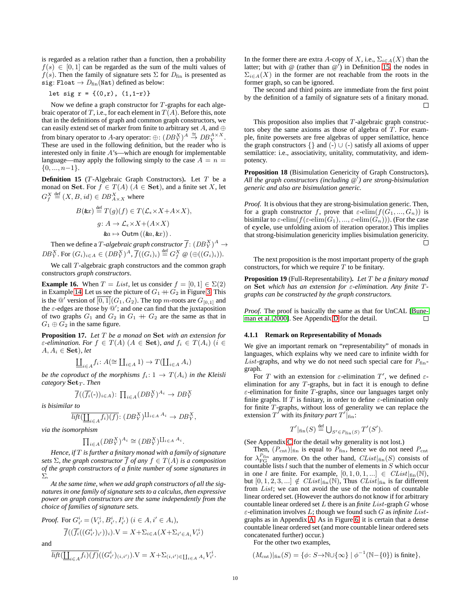is regarded as a relation rather than a function, then a probability  $f(s) \in [0, 1]$  can be regarded as the sum of the multi values of  $f(s)$ . Then the family of signature sets  $\Sigma$  for  $D<sub>fin</sub>$  is presented as  $\texttt{sig: float} \rightarrow D_{\text{fin}}(\texttt{Nat})$  defined as below:

let sig 
$$
r = \{(0,r), (1,1-r)\}
$$

Now we define a graph constructor for *T*-graphs for each algebraic operator of *T*, i.e., for each element in  $T(A)$ . Before this, note that in the definitions of graph and common graph constructors, we can easily extend set of marker from finite to arbitrary set *A*, and *⊕* from binary operator to *A*-ary operator:  $\bigoplus$ :  $\left(DB_Y^X\right)^A \stackrel{\cong}{\to} DB_Y^{A \times X}$ . These are used in the following definition, but the reader who is interested only in finite *A*'s—which are enough for implementable language—may apply the following simply to the case  $A = n =$ *{*0*, ..., n−*1*}*.

<span id="page-11-1"></span>**Definition 15** (*T*-Algebraic Graph Constructors)**.** Let *T* be a monad on **Set**. For  $f \in T(A)$  ( $A \in$ **Set**), and a finite set *X*, let  $G_f^X \stackrel{\text{def}}{=} (X, B, id) \in DB_{A \times X}^X$  where

$$
B(\&x) \stackrel{\text{def}}{=} T(g)(f) \in T(\mathcal{L}_{\epsilon} \times X + A \times X),
$$

$$
g: A \to \mathcal{L}_{\epsilon} \times X + (A \times X)
$$

$$
\&a \mapsto \text{Outm}\left(\langle \&a, \&x \rangle\right).
$$

Then we define a  $T$ *-algebraic graph constructor*  $\overline{f} \colon (DB_Y^X)^A \to$  $DB_Y^X$ . For  $(G_i)_{i \in A} \in (DB_Y^X)^A$ ,  $\overline{f}((G_i)_i) \stackrel{\text{def}}{=} G_f^X \otimes (\bigoplus ((G_i)_i)).$ 

We call *T*-algebraic graph constructors and the common graph constructors *graph constructors*.

**Example 16.** When  $T = List$ , let us consider  $f = [0, 1] \in \Sigma(2)$ in Example [14.](#page-10-0) Let us see the picture of  $G_1 + G_2$  in Figure [3.](#page-5-0) This is the  $\mathcal{Q}'$  version of  $\overline{[0,1]}(G_1, G_2)$ . The top *m*-roots are  $G_{[0,1]}$  and the *ε*-edges are those by @ *′* ; and one can find that the juxtaposition of two graphs  $G_1$  and  $G_2$  in  $G_1 + G_2$  are the same as that in  $G_1 \oplus G_2$  in the same figure.

**Proposition 17.** *Let T be a monad on* **Set** *with an extension for ε*-elimination. For  $f \in T(A)$   $(A \in \mathbf{Set})$ , and  $f_i \in T(A_i)$   $(i \in$  $A, A_i \in \mathbf{Set}$ *), let* 

$$
\operatorname{\underline{II}}_{i\in A}f_i\colon A(\cong\operatorname{II}_{i\in A}1)\to T(\operatorname{II}_{i\in A}A_i)
$$

*be the coproduct of the morphisms*  $f_i: 1 \rightarrow T(A_i)$  *in the Kleisli category* **Set***<sup>T</sup> . Then*

$$
\overline{f}((\overline{f_i}(\cdot))_{i \in A}) \colon \prod_{i \in A} (DB_Y^X)^{A_i} \to DB_Y^X
$$

*is bisimilar to*

$$
\overline{\text{lift}(\underline{\coprod}_{i\in A} f_i)(f)}\colon (DB_Y^X)^{\coprod_{i\in A} A_i} \to DB_Y^X,
$$

*via the isomorphism*

$$
\prod_{i \in A} (DB_Y^X)^{A_i} \cong (DB_Y^X)^{\coprod_{i \in A} A_i}.
$$

*Hence, if T is further a finitary monad with a family of signature sets*  $\Sigma$ *, the graph constructor*  $\overline{f}$  *of any*  $f \in T(A)$  *is a composition of the graph constructors of a finite number of some signatures in* Σ*.*

*At the same time, when we add graph constructors of all the signatures in one family of signature sets to a calculus, then expressive power on graph constructors are the same independently from the choice of families of signature sets.*

*Proof.* For 
$$
G_{i'}^i = (V_{i'}^i, B_{i'}^i, I_{i'}^i)
$$
  $(i \in A, i' \in A_i)$ ,

$$
\overline{f}((\overline{f_i}((G_{i'}^i)_{i'}))_i).V = X + \Sigma_{i \in A}(X + \Sigma_{i' \in A_i}V_{i'}^i)
$$

and

$$
\overline{lift(\underline{\coprod}_{i \in A} f_i)(f)}((G_{i'}^{i'})(i,i')).V = X + \Sigma_{(i,i') \in \coprod_{i \in A} A_i} V_{i'}^{i}.
$$

In the former there are extra *A*-copy of *X*, i.e.,  $\Sigma_{i \in A}(X)$  than the latter; but with @ (rather than @ *′* ) in Definition [15,](#page-11-1) the nodes in  $\Sigma_{i \in A}(X)$  in the former are not reachable from the roots in the former graph, so can be ignored.

The second and third points are immediate from the first point by the definition of a family of signature sets of a finitary monad. П

This proposition also implies that *T*-algebraic graph constructors obey the same axioms as those of algebra of *T*. For example, finite powersets are free algebras of upper semilattice, hence the graph constructors  $\{\}$  and  $\left(\frac{1}{2}\right) \cup \left(\frac{1}{2}\right)$  satisfy all axioms of upper semilattice: i.e., associativity, unitality, commutativity, and idempotency.

<span id="page-11-2"></span>**Proposition 18** (Bisimulation Genericity of Graph Constructors)**.** *All the graph constructors (including @ ′ ) are strong-bisimulation generic and also are bisimulation generic.*

*Proof.* It is obvious that they are strong-bisimulation generic. Then, for a graph constructor *f*, prove that  $\varepsilon$ -elim $(f(G_1, ..., G_n))$  is bisimilar to  $\varepsilon$ -elim $(f(\varepsilon \text{-elim}(G_1),..., \varepsilon \text{-elim}(G_n)))$ . (For the case of **cycle**, use unfolding axiom of iteration operator.) This implies that strong-bisimulation genericity implies bisimulation genericity.  $\Box$ 

The next proposition is the most important property of the graph constructors, for which we require *T* to be finitary.

<span id="page-11-0"></span>**Proposition 19** (Full-Representability)**.** *Let T be a finitary monad on* **Set** *which has an extension for ε-elimination. Any finite Tgraphs can be constructed by the graph constructors.*

*Proof.* The proof is basically the same as that for UnCAL [\[Bune](#page-20-5)[man et al.](#page-20-5) [2000\]](#page-20-5). See Appendix [D](#page-21-2) for the detail.  $\Box$ 

### **4.1.1 Remark on Representability of Monads**

We give an important remark on "representability" of monads in languages, which explains why we need care to infinite width for *List*-graphs, and why we do not need such special care for  $P_{fin}$ graph.

For *T* with an extension for  $\varepsilon$ -elimination *T'*, we defined  $\varepsilon$ elimination for any *T*-graphs, but in fact it is enough to define *ε*-elimination for finite *T*-graphs, since our languages target only finite graphs. If *T* is finitary, in order to define *ε*-elimination only for finite *T*-graphs, without loss of generality we can replace the extension  $T'$  with its *finitary part*  $T'$ <sup> $\vert_{\text{fin}}$ :</sup>

$$
T'|_{\text{fin}}(S) \stackrel{\text{def}}{=} \bigcup_{S' \in P_{\text{fin}}(S)} T'(S').
$$

(See Appendix [C](#page-21-3) for the detail why generality is not lost.)

Then,  $(P_{\text{cnt}})|_{\text{fin}}$  is equal to  $P_{\text{fin}}$ , hence we do not need  $P_{\text{cnt}}$ for  $\lambda_{FG}^{P_{fin}}$  anymore. On the other hand,  $CList|_{fin}(S)$  consists of countable lists *l* such that the number of elements in *S* which occur in one *l* are finite. For example,  $[0, 1, 0, 1, \ldots] \in CList|_{fin}(\mathbb{N}),$ but  $[0, 1, 2, 3, \ldots] \notin CList|_{fin}(\mathbb{N})$ , Thus  $CList|_{fin}$  is far different from *List*; we can not avoid the use of the notion of countable linear ordered set. (However the authors do not know if for arbitrary countable linear ordered set *L* there is an *finite List*-graph *G* whose *ε*-elimination involves *L*; though we found such *G* as *infinite List*graphs as in Appendix [A.](#page-21-0) As in Figure [6,](#page-6-1) it is certain that a dense countable linear ordered set (and more countable linear ordered sets concatenated further) occur.)

For the other two examples,

$$
(M_{\text{cnt}})|_{\text{fin}}(S) = \{ \phi \colon S \rightarrow \mathbb{N} \cup \{\infty\} \mid \phi^{-1}(\mathbb{N} - \{0\}) \text{ is finite} \},
$$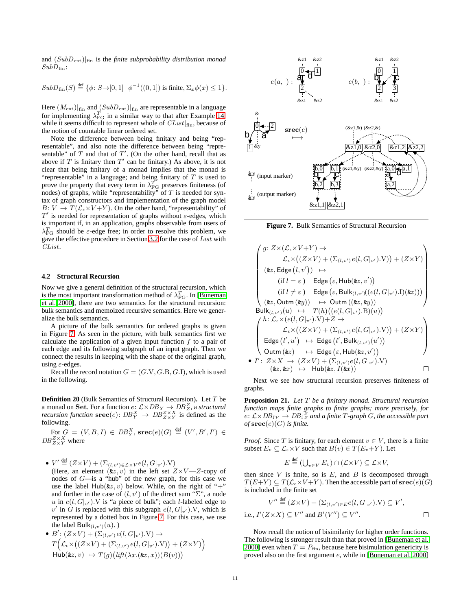and (*SubD*cnt)*|*fin is the *finite subprobability distribution monad*  $SubD_{fin}$ :

$$
SubD_{fin}(S) \stackrel{\text{def}}{=} {\phi \colon S \rightarrow [0,1] \mid \phi^{-1}((0,1]) \text{ is finite}, \Sigma_x \phi(x) \le 1}.
$$

Here  $(M_{\text{cnt}})|_{\text{fin}}$  and  $(SubD_{\text{cnt}})|_{\text{fin}}$  are representable in a language for implementing  $\lambda_{\text{FG}}^T$  in a similar way to that after Example [14,](#page-10-0) while it seems difficult to represent whole of *CList|*fin, because of the notion of countable linear ordered set.

Note the difference between being finitary and being "representable", and also note the difference between being "representable" of *T* and that of *T ′* . (On the other hand, recall that as above if  $T$  is finitary then  $T'$  can be finitary.) As above, it is not clear that being finitary of a monad implies that the monad is "representable" in a language; and being finitary of *T* is used to prove the property that every term in  $\lambda_{\text{FG}}^T$  preserves finiteness (of nodes) of graphs, while "representability" of *T* is needed for syntax of graph constructors and implementation of the graph model  $B: V \to T(\mathcal{L}_{\epsilon} \times V + Y)$ . On the other hand, "representability" of *T ′* is needed for representation of graphs without *ε*-edges, which is important if, in an application, graphs observable from users of  $\lambda_{\text{FG}}^T$  should be *ε*-edge free; in order to resolve this problem, we gave the effective procedure in Section [3.2](#page-7-4) for the case of *List* with *CList*.

#### <span id="page-12-1"></span>**4.2 Structural Recursion**

Now we give a general definition of the structural recursion, which is the most important transformation method of  $\lambda_{\rm FG}^T$ . In [\[Buneman](#page-20-5) [et al.](#page-20-5) [2000\]](#page-20-5), there are two semantics for the structural recursion: bulk semantics and memoized recursive semantics. Here we generalize the bulk semantics.

A picture of the bulk semantics for ordered graphs is given in Figure [7.](#page-12-0) As seen in the picture, with bulk semantics first we calculate the application of a given input function  $f$  to a pair of each edge and its following subgraph of an input graph. Then we connect the results in keeping with the shape of the original graph, using *ε*-edges.

Recall the record notation  $G = (G.V, G.B, G.I)$ , which is used in the following.

**Definition 20** (Bulk Semantics of Structural Recursion)**.** Let *T* be a monad on **Set**. For a function  $e: \mathcal{L} \times DB_Y \rightarrow DB_Z^Z$ , a *structural recursion function*  $\mathbf{srcc}(e)$ :  $DB_Y^X \to DB_{Z \times Y}^{Z \times X}$  is defined as the following.

 $\text{For } G = (V, B, I) \in DB_Y^X, \, \text{spec}(e)(G) \, \stackrel{\text{def}}{=} (V', B', I') \in$  $DB_{Z\times Y}^{Z\times X}$  where

•  $V' \stackrel{\text{def}}{=} (Z \times V) + (\Sigma_{(l,v') \in \mathcal{L} \times V} e(l, G|_{v'})$ . $V)$ (Here, an element  $(kz, v)$  in the left set  $Z \times V - Z$ -copy of nodes of *G*—is a "hub" of the new graph, for this case we use the label  $\text{Hub}(\&z, v)$  below. While, on the right of "+" and further in the case of  $(l, v')$  of the direct sum " $\Sigma$ ", a node *u* in  $e(l, G|_{v'})$ . *V* is "a piece of bulk"; each *l*-labeled edge to  $v'$  in *G* is replaced with this subgraph  $e(l, G|_{v'})$ . V, which is represented by a dotted box in Figure [7.](#page-12-0) For this case, we use the label Bulk $_{(l,v')}(u)$ . )

\n- \n
$$
B' : (Z \times V) + (\Sigma_{(l,v')} e(l, G|_{v'}).V) \rightarrow
$$
\n
$$
T\left(\mathcal{L}_{\epsilon} \times ((Z \times V) + (\Sigma_{(l,v')} e(l, G|_{v'}).V)) + (Z \times Y)\right)
$$
\n
$$
\text{Hub}(\&z, v) \rightarrow T(g) \left(\text{lift}(\lambda x. (\&z, x))(B(v))\right)
$$
\n
\n



<span id="page-12-0"></span>**Figure 7.** Bulk Semantics of Structural Recursion

$$
\begin{pmatrix}\ng: Z \times (\mathcal{L}_{\epsilon} \times V + Y) \rightarrow \\
\mathcal{L}_{\epsilon} \times ((Z \times V) + (\Sigma_{(l,v')}e(l,G|_{v'}).V)) + (Z \times Y) \\
(\text{&z, Edge } (l,v')) \rightarrow \\
\text{(if } l = \varepsilon) \quad \text{Edge } (\varepsilon, \text{Hub}(\text{&z}, v')) \\
(\text{if } l \neq \varepsilon) \quad \text{Edge } (\varepsilon, \text{Bulk}_{(l,v')}(e(l,G|_{v'}).I)(\text{&z}))) \\
(\text{&z, Outm } (\text{&y})) \rightarrow \text{Outm } ((\text{&z, } \text{&y})) \\
\text{Bulk}_{(l,v')}(u) \rightarrow T(h)((e(l,G|_{v'}).B)(u)) \\
\left\{\n\begin{aligned}\nh: \mathcal{L}_{\epsilon} \times (e(l,G|_{v'}).V) + Z \rightarrow \\
\mathcal{L}_{\epsilon} \times ((Z \times V) + (\Sigma_{(l,v')}e(l,G|_{v'}).V)) + (Z \times Y) \\
\text{Edge } (l',u') \rightarrow \text{Edge } (l', \text{Bulk}_{(l,v')}(u')) \\
\text{Outm } (\text{&z}) \rightarrow \text{Edge } (\varepsilon, \text{Hub}(\text{&z}, v')) \\
I': Z \times X \rightarrow (Z \times V) + (\Sigma_{(l,v')}e(l,G|_{v'}).V) \\
(\text{&z, & \text{&z}, \text{&z}) \rightarrow \text{Hub}(\text{&z}, I(\text{&z}))\n\end{aligned}\n\right\}
$$

Next we see how structural recursion preserves finiteness of graphs.

**Proposition 21.** *Let T be a finitary monad. Structural recursion function maps finite graphs to finite graphs; more precisely, for*  $e \colon L \times DB_{fY} \to DB_{fZ}^Z$  and a finite  $T$ *-graph G, the accessible part of* **srec**(*e*)(*G*) *is finite.*

*Proof.* Since *T* is finitary, for each element  $v \in V$ , there is a finite subset  $E_v \subseteq \mathcal{L}_{\epsilon} \times V$  such that  $B(v) \in T(E_v + Y)$ . Let

$$
E \stackrel{\text{def}}{=} (\bigcup_{v \in V} E_v) \cap (\mathcal{L} \times V) \subseteq \mathcal{L} \times V,
$$

then since  $V$  is finite, so is  $E$ , and  $B$  is decomposed through  $T(E+Y) \subseteq T(\mathcal{L}_{\epsilon} \times V+Y)$ . Then the accessible part of  $\text{spec}(e)(G)$ is included in the finite set

$$
V'' \stackrel{\text{def}}{=} (Z \times V) + (\Sigma_{(l,v') \in E} e(l, G|_{v'}).V) \subseteq V',
$$
  
i.e.,  $I'(Z \times X) \subseteq V''$  and  $B'(V'') \subseteq V''$ .

Now recall the notion of bisimilarity for higher order functions. The following is stronger result than that proved in [\[Buneman et al.](#page-20-5) [2000\]](#page-20-5) even when  $T = P_{fin}$ , because here bisimulation genericity is proved also on the first argument *e*, while in [\[Buneman et al.](#page-20-5) [2000\]](#page-20-5)

*• I*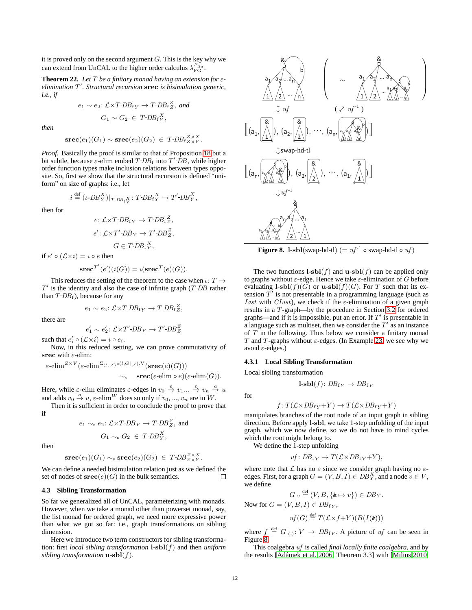it is proved only on the second argument *G*. This is the key why we can extend from UnCAL to the higher order calculus  $\lambda_{FG}^{P_{fin}}$ .

<span id="page-13-2"></span>**Theorem 22.** *Let*  $T$  *be a finitary monad having an extension for*  $\varepsilon$ *elimination T ′ . Structural recursion* **srec** *is bisimulation generic, i.e., if*

$$
e_1 \sim e_2 \colon \mathcal{L} \times T \text{-} DB_{fY} \to T \text{-} DB_{fZ}^Z, \text{ and}
$$
  

$$
G_1 \sim G_2 \in T \text{-} DB_{fY}^X,
$$

*then*

$$
\mathbf{src}(e_1)(G_1) \sim \mathbf{src}(e_2)(G_2) \in T\text{-}DBf_{Z \times Y}^{Z \times X}.
$$

*Proof.* Basically the proof is similar to that of Proposition [18](#page-11-2) but a bit subtle, because  $\varepsilon$ -elim embed  $T$ - $DB$ <sub>f</sub> into  $T'$ - $DB$ , while higher order function types make inclusion relations between types opposite. So, first we show that the structural recursion is defined "uniform" on size of graphs: i.e., let

$$
i \stackrel{\text{def}}{=} (\iota \text{-}DB_Y^X)|_{T \text{-}DB_{f_Y}X} : T \text{-}DB_{f_Y}^X \to T' \text{-}DB_Y^X,
$$

then for

$$
e: \mathcal{L} \times T \text{-} DB_{fY} \to T \text{-} DB_{fZ}^Z,
$$
  

$$
e': \mathcal{L} \times T' \text{-} DB_Y \to T' \text{-} DB_{Z}^Z,
$$
  

$$
G \in T \text{-} DB_{fY}^X,
$$

if  $e' \circ (\mathcal{L} \times i) = i \circ e$  then

$$
\mathbf{prec}^{T'}(e')(i(G)) = i(\mathbf{srcc}^{T}(e)(G)).
$$

This reduces the setting of the theorem to the case when *ι*: *T → T ′* is the identity and also the case of infinite graph (*T DB* rather than  $T$ - $DB$ <sub>f</sub>), because for any

$$
e_1 \sim e_2 \colon \mathcal{L} \times T \text{-} DB_{fY} \to T \text{-} DB_{fZ}^Z,
$$

there are

$$
e_1' \sim e_2' \colon \mathcal{L} \times T' \text{-} DB_Y \to T' \text{-} DB_Z^Z
$$

such that  $e'_i \circ (\mathcal{L} \times i) = i \circ e_i$ .

Now, in this reduced setting, we can prove commutativity of **srec** with *ε*-elim:

$$
\varepsilon\text{-elim}^{Z\times V}(\varepsilon\text{-elim}^{\Sigma_{(l,v')}(e(l,G|_{v'}),V}(\mathbf{srcc}(e)(G)))\sim_{\mathrm{s}}\mathbf{srcc}(\varepsilon\text{-elim}\circ e)(\varepsilon\text{-elim}(G)).
$$

Here, while  $\varepsilon$ -elim eliminates  $\varepsilon$ -edges in  $v_0 \stackrel{\varepsilon}{\to} v_1 ... \stackrel{\varepsilon}{\to} v_n \stackrel{a}{\to} u$ and adds  $v_0 \stackrel{a}{\rightarrow} u$ ,  $\varepsilon$ -elim<sup>*W*</sup> does so only if  $v_0$ , ...,  $v_n$  are in *W*.

Then it is sufficient in order to conclude the proof to prove that if

$$
e_1 \sim_s e_2
$$
:  $\mathcal{L} \times T$ - $DB_Y \rightarrow T$ - $DB_Z^Z$ , and  
 $G_1 \sim_s G_2 \in T$ - $DB_Y^Y$ ,

then

$$
\mathbf{src}(e_1)(G_1) \sim_s \mathbf{src}(e_2)(G_2) \in T\text{-}DB_{Z \times Y}^{Z \times X}.
$$

We can define a needed bisimulation relation just as we defined the set of nodes of  $\textbf{spec}(e)(G)$  in the bulk semantics. П

# <span id="page-13-0"></span>**4.3 Sibling Transformation**

So far we generalized all of UnCAL, parameterizing with monads. However, when we take a monad other than powerset monad, say, the list monad for ordered graph, we need more expressive power than what we got so far: i.e., graph transformations on sibling dimension.

Here we introduce two term constructors for sibling transformation: first *local sibling transformation* **l**-**sbl**(*f*) and then *uniform sibling transformation* **u**-**sbl**(*f*).



<span id="page-13-1"></span>**Figure 8. l**-sbl(swap-hd-tl) (=  $uf^{-1} \circ$  swap-hd-tl  $\circ uf$ )

The two functions  $\mathbf{l} \cdot \mathbf{s} \mathbf{bl}(f)$  and  $\mathbf{u} \cdot \mathbf{s} \mathbf{bl}(f)$  can be applied only to graphs without *ε*-edge. Hence we take *ε*-elimination of *G* before evaluating  $\textbf{l}$ - $\textbf{sbl}(f)(G)$  or  $\textbf{u}$ - $\textbf{sbl}(f)(G)$ . For *T* such that its extension  $T'$  is not presentable in a programming language (such as *List* with *CList*), we check if the  $\varepsilon$ -elimination of a given graph results in a *T*-graph—by the procedure in Section [3.2](#page-7-4) for ordered graphs—and if it is impossible, put an error. If *T ′* is presentable in a language such as multiset, then we consider the  $T'$  as an instance of *T* in the following. Thus below we consider a finitary monad *T* and *T*-graphs without *ε*-edges. (In Example [23,](#page-14-1) we see why we avoid *ε*-edges.)

### <span id="page-13-3"></span>**4.3.1 Local Sibling Transformation**

Local sibling transformation

$$
l\text{-}sbl(f)\colon DB_{fY}\to DB_{fY}
$$

for

$$
f: T(\mathcal{L} \times DB_{fY} + Y) \to T(\mathcal{L} \times DB_{fY} + Y)
$$

manipulates branches of the root node of an input graph in sibling direction. Before apply **l**-**sbl**, we take 1-step unfolding of the input graph, which we now define, so we do not have to mind cycles which the root might belong to.

We define the 1-step unfolding

$$
uf: DB_{fY} \to T(\mathcal{L} \times DB_{fY} + Y),
$$

where note that  $\mathcal L$  has no  $\varepsilon$  since we consider graph having no  $\varepsilon$ edges. First, for a graph  $G = (V, B, I) \in DB_Y^X$ , and a node  $v \in V$ , we define

$$
G|_{v} \stackrel{\text{def}}{=} (V, B, \{ \& \mapsto v \}) \in DB_{Y}.
$$

Now for 
$$
G = (V, B, I) \in DB_{fY}
$$
,

$$
uf(G) \stackrel{\text{def}}{=} T(\mathcal{L} \times f + Y)(B(I(\&)))
$$

where  $f \stackrel{\text{def}}{=} G|_{\langle \cdot \rangle}: V \to DB_{fY}$ . A picture of *uf* can be seen in Figure [8.](#page-13-1)

This coalgebra *uf* is called *final locally finite coalgebra*, and by the results [Adámek et al. [2006,](#page-19-2) Theorem 3.3] with [\[Milius](#page-20-22) [2010,](#page-20-22)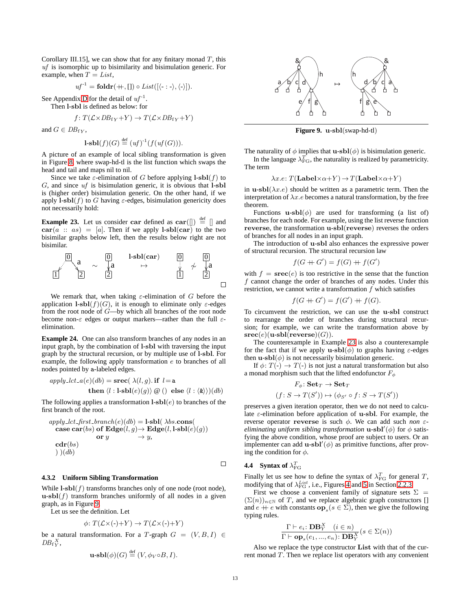Corollary III.15], we can show that for any finitary monad *T*, this *uf* is isomorphic up to bisimilarity and bisimulation generic. For example, when  $T = List$ ,

$$
uf^{-1} = \mathbf{foldr}(+,[]) \circ List([\langle - : - \rangle, \langle - \rangle]).
$$

See Appendix [D](#page-21-2) for the detail of  $uf^{-1}$ .

Then **l**-**sbl** is defined as below: for

$$
f: T(\mathcal{L} \times DB_{fY} + Y) \to T(\mathcal{L} \times DB_{fY} + Y)
$$

and  $G \in DB_{fV}$ ,

$$
\mathbf{l}\text{-}\mathbf{sbl}(f)(G) \stackrel{\text{def}}{=} (uf)^{-1}(f(uf(G))).
$$

A picture of an example of local sibling transformation is given in Figure [8,](#page-13-1) where swap-hd-tl is the list function which swaps the head and tail and maps nil to nil.

Since we take  $\varepsilon$ -elimination of *G* before applying  $\textbf{l}$ - $\textbf{sbl}(f)$  to *G*, and since *uf* is bisimulation generic, it is obvious that **l**-**sbl** is (higher order) bisimulation generic. On the other hand, if we apply  $\textbf{l}$ **-sbl**(*f*) to *G* having  $\varepsilon$ -edges, bisimulation genericity does not necessarily hold:

<span id="page-14-1"></span>**Example 23.** Let us consider **car** defined as  $\mathbf{car}(\parallel) \stackrel{\text{def}}{=} \parallel$  and  $\mathbf{car}(a :: as) = [a]$ . Then if we apply **l**-sbl(car) to the two bisimilar graphs below left, then the results below right are not bisimilar.



We remark that, when taking *ε*-elimination of *G* before the application  $\textbf{l}$ - $\textbf{sbl}(f)(G)$ , it is enough to eliminate only  $\varepsilon$ -edges from the root node of *G*—by which all branches of the root node become non-*ε* edges or output markers—rather than the full *ε*elimination.

**Example 24.** One can also transform branches of any nodes in an input graph, by the combination of **l**-**sbl** with traversing the input graph by the structural recursion, or by multiple use of **l**-**sbl**. For example, the following apply transformation *e* to branches of all nodes pointed by a-labeled edges.

$$
apply\_lct\_a(e)(db) = \text{spec}(\lambda(l,g). \text{ if } l = a
$$
  
then  $\langle l : l \text{-}sbl(e)(g) \rangle \text{ @ } () \text{ else } \langle l : \langle \& \rangle \rangle \text{ (}db)$ 

The following applies a transformation **l**-**sbl**(*e*) to branches of the first branch of the root.

$$
apply\_lct\_first\_branch(e)(db) = l-sbl(\lambda bs.\text{cons}(\\ \text{case car}(bs) \text{ of Edge}(l,g) \rightarrow \text{Edge}(l, l\text{-}sbl(e)(g)) \newline \text{or } y \rightarrow y,
$$
  

$$
\text{cdr}(bs) \rightarrow ((db) \rightarrow y, \text{cdr}(bs) \rightarrow y))
$$

# $\Box$

## **4.3.2 Uniform Sibling Transformation**

While  $\mathbf{l}$ - $\mathbf{sbl}(f)$  transforms branches only of one node (root node),  $\mathbf{u}\text{-}\mathbf{s}\mathbf{b}\mathbf{l}(f)$  transform branches uniformly of all nodes in a given graph, as in Figure [9.](#page-14-2)

Let us see the definition. Let

$$
\phi \colon T(\mathcal{L} \times (-) + Y) \to T(\mathcal{L} \times (-) + Y)
$$

be a natural transformation. For a *T*-graph  $G = (V, B, I) \in$  $DB_fY^$ 

$$
\mathbf{u}\text{-}\mathbf{b}\mathbf{l}(\phi)(G) \stackrel{\text{def}}{=} (V, \phi_V \circ B, I).
$$



<span id="page-14-2"></span>**Figure 9. u**-**sbl**(swap-hd-tl)

The naturality of  $\phi$  implies that **u**-**sbl**( $\phi$ ) is bisimulation generic. In the language  $\lambda_{\text{FG}}^T$ , the naturality is realized by parametricity. The term

$$
\lambda x.e: T(\mathbf{Label} \times \alpha + Y) \to T(\mathbf{Label} \times \alpha + Y)
$$

in **u**-sbl $(\lambda x.e)$  should be written as a parametric term. Then the interpretation of  $\lambda x.e$  becomes a natural transformation, by the free theorem.

Functions  $\mathbf{u}\text{-}\mathbf{sbl}(\phi)$  are used for transforming (a list of) branches for each node. For example, using the list reverse function **reverse**, the transformation **u**-**sbl**(**reverse**) reverses the orders of branches for all nodes in an input graph.

The introduction of **u**-**sbl** also enhances the expressive power of structural recursion. The structural recursion law

$$
f(G+G') = f(G) + f(G')
$$

with  $f = \text{spec}(e)$  is too restrictive in the sense that the function *f* cannot change the order of branches of any nodes. Under this restriction, we cannot write a transformation *f* which satisfies

$$
f(G + G') = f(G') + f(G).
$$

To circumvent the restriction, we can use the **u**-**sbl** construct to rearrange the order of branches during structural recursion; for example, we can write the transformation above by  $\mathbf{spec}(e)(\mathbf{u}\text{-}\mathbf{sb}l(\mathbf{reverse})(G)).$ 

The counterexample in Example [23](#page-14-1) is also a counterexample for the fact that if we apply **u**-**sbl**( $\phi$ ) to graphs having  $\varepsilon$ -edges then  $\mathbf{u}$ - $\mathbf{s}\mathbf{b}$  $\mathbf{l}(\phi)$  is not necessarily bisimulation generic.

If  $\phi: T(-) \to T(-)$  is not just a natural transformation but also a monad morphism such that the lifted endofunctor *F<sup>ϕ</sup>*

$$
F_{\phi} \colon \mathbf{Set}_T \to \mathbf{Set}_T
$$

$$
(f \colon S \to T(S')) \mapsto (\phi_{S'} \circ f \colon S \to T(S'))
$$

preserves a given iteration operator, then we do not need to calculate *ε*-elimination before application of **u**-**sbl**. For example, the reverse operator **reverse** is such *ϕ*. We can add such *non εeliminating uniform sibling transformation* **u**-**sbl***′* (*ϕ*) for *ϕ* satisfying the above condition, whose proof are subject to users. Or an implementer can add  $\mathbf{u}$ - $\mathbf{s}\mathbf{b}\mathbf{l}'(\phi)$  as primitive functions, after proving the condition for *ϕ*.

# <span id="page-14-0"></span>**4.4** Syntax of  $\lambda_{\text{FG}}^T$

Finally let us see how to define the syntax of  $\lambda_{\text{FG}}^T$  for general *T*, modifying that of  $\lambda_{\text{FG}}^{List}$ , i.e., Figures [4](#page-5-2) and [5](#page-5-1) in Section [2.2.3.](#page-5-3)

First we choose a convenient family of signature sets  $\Sigma =$  $(\Sigma(n))_{n \in \mathbb{N}}$  of *T*, and we replace algebraic graph constructors [] and  $e + e$  with constants  $\mathbf{op}_s(s \in \Sigma)$ , then we give the following typing rules.

$$
\frac{\Gamma\vdash e_i\colon\mathbf{DB}_Y^X\quad (i\in n)}{\Gamma\vdash\mathbf{op}_s(e_1,...,e_n)\colon\mathbf{DB}_Y^X}(s\in\Sigma(n))
$$

Also we replace the type constructor **List** with that of the current monad *T*. Then we replace list operators with any convenient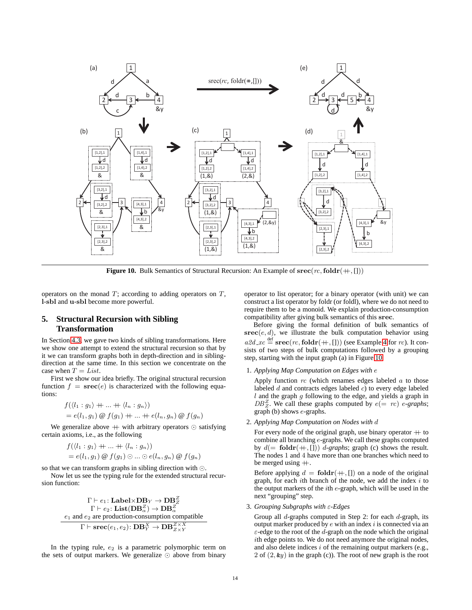

<span id="page-15-1"></span>**Figure 10.** Bulk Semantics of Structural Recursion: An Example of **srec**(*rc,***foldr**(++*,* []))

operators on the monad *T*; according to adding operators on *T*, **l**-**sbl** and **u**-**sbl** become more powerful.

# <span id="page-15-0"></span>**5. Structural Recursion with Sibling Transformation**

In Section [4.3,](#page-13-0) we gave two kinds of sibling transformations. Here we show one attempt to extend the structural recursion so that by it we can transform graphs both in depth-direction and in siblingdirection at the same time. In this section we concentrate on the case when  $T = List$ .

First we show our idea briefly. The original structural recursion function  $f = \text{spec}(e)$  is characterized with the following equations:

$$
f(\langle l_1: g_1 \rangle + \dots + \langle l_n: g_n \rangle)
$$
  
=  $e(l_1, g_1) \otimes f(g_1) + \dots + e(l_n, g_n) \otimes f(g_n)$ 

We generalize above  $+$  with arbitrary operators ⊙ satisfying certain axioms, i.e., as the following

$$
f(\langle l_1: g_1 \rangle + \dots + \langle l_n: g_n \rangle)
$$
  
=  $e(l_1, g_1) \otimes f(g_1) \odot \dots \odot e(l_n, g_n) \otimes f(g_n)$ 

so that we can transform graphs in sibling direction with *⊙*.

Now let us see the typing rule for the extended structural recursion function:

$$
\Gamma \vdash e_1 \colon \mathbf{Label} \times \mathbf{DB}_Y \to \mathbf{DB}_Z^Z \\ \Gamma \vdash e_2 \colon \mathbf{List}(\mathbf{DB}_\alpha^Z) \to \mathbf{DB}_\alpha^Z \\ e_1 \text{ and } e_2 \text{ are production-consumption compatible} \\ \Gamma \vdash \mathbf{srcc}(e_1, e_2) \colon \mathbf{DB}_Y^X \to \mathbf{DB}_{ZXX}^{Z \times X}
$$

In the typing rule,  $e_2$  is a parametric polymorphic term on the sets of output markers. We generalize *⊙* above from binary

operator to list operator; for a binary operator (with unit) we can construct a list operator by foldr (or foldl), where we do not need to require them to be a monoid. We explain production-consumption compatibility after giving bulk semantics of this **srec**.

Before giving the formal definition of bulk semantics of **srec**(*e, d*), we illustrate the bulk computation behavior using  $a2d$ <sub>-</sub>*xc*  $\stackrel{\text{def}}{=}$  **srec**(*rc*, **foldr**(++, [])) (see Example [4](#page-5-4) for *rc*). It consists of two steps of bulk computations followed by a grouping step, starting with the input graph (a) in Figure [10.](#page-15-1)

#### 1. *Applying Map Computation on Edges with e*

Apply function *rc* (which renames edges labeled *a* to those labeled *d* and contracts edges labeled *c*) to every edge labeled *l* and the graph *g* following to the edge, and yields a graph in  $DB<sub>Z</sub><sup>Z</sup>$ . We call these graphs computed by *e*(= *rc*) *e-graphs*; graph (b) shows *e*-graphs.

# 2. *Applying Map Computation on Nodes with d*

For every node of the original graph, use binary operator  $+$  to combine all branching *e*-graphs. We call these graphs computed by  $d(= \text{foldr}(+, []))$  *d*-graphs; graph (c) shows the result. The nodes 1 and 4 have more than one branches which need to be merged using  $+$ .

Before applying  $d = \text{foldr}(+, \text{[}$ ) on a node of the original graph, for each *i*th branch of the node, we add the index *i* to the output markers of the *i*th *e*-graph, which will be used in the next "grouping" step.

## 3. *Grouping Subgraphs with ε-Edges*

Group all *d*-graphs computed in Step 2: for each *d*-graph, its output marker produced by *e* with an index *i* is connected via an *ε*-edge to the root of the *d*-graph on the node which the original *i*th edge points to. We do not need anymore the original nodes, and also delete indices *i* of the remaining output markers (e.g., 2 of (2*,* &*y*) in the graph (c)). The root of new graph is the root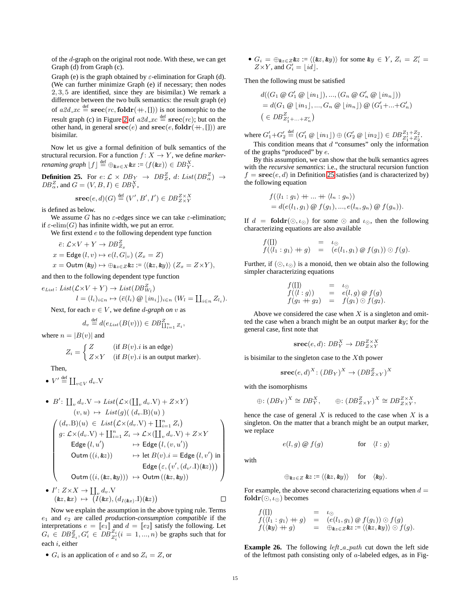of the *d*-graph on the original root node. With these, we can get Graph (d) from Graph (c).

Graph (e) is the graph obtained by *ε*-elimination for Graph (d). (We can further minimize Graph (e) if necessary; then nodes 2*,* 3*,* 5 are identified, since they are bisimilar.) We remark a difference between the two bulk semantics: the result graph (e) of  $a2d$ <sub>-xc</sub>  $\stackrel{\text{def}}{=}$  **srec**(*rc*, **foldr**(++, [])) is not isomorphic to the result graph (c) in Figure [2](#page-4-5) of  $a2d$ <sub>-xc</sub>  $\stackrel{\text{def}}{=}$  **srec**(*rc*); but on the other hand, in general  $\textbf{src}(e)$  and  $\textbf{src}(e, \textbf{foldr}(+, []))$  are bisimilar.

Now let us give a formal definition of bulk semantics of the structural recursion. For a function  $f: X \rightarrow Y$ , we define *marker*- $\mathcal{L}$ *renaming graph*  $\lfloor f \rfloor \stackrel{\text{def}}{=} \bigoplus_{\mathbf{k}x \in X} \mathbf{k}x := \langle f(\mathbf{k}x) \rangle \in DB_{Y}^{X}$ .

<span id="page-16-0"></span>**Definition 25.** For  $e: \mathcal{L} \times DB_Y \rightarrow DB_Z^Z$ ,  $d: List(DB^Z_{\alpha}) \rightarrow$  $DB_{\alpha}^{Z}$ , and  $G = (V, B, I) \in DB_{Y}^{X}$ ,

$$
\mathbf{srcc}(e, d)(G) \stackrel{\text{def}}{=} (V', B', I') \in DB_{Z \times Y}^{Z \times X}
$$

is defined as below.

We assume *G* has no  $\varepsilon$ -edges since we can take  $\varepsilon$ -elimination; if  $\varepsilon$ -elim(*G*) has infinite width, we put an error.

We first extend *e* to the following dependent type function

$$
\bar{e} \colon \mathcal{L} \times V + Y \to DB_{Z_x}^Z
$$

$$
x = \mathsf{Edge}(l, v) \mapsto e(l, G|_v) (Z_x = Z)
$$

 $x =$  Outm  $(\&y) \mapsto \bigoplus_{\&z \in Z} \&z := \langle (\&z, \&y) \rangle \ (Z_x = Z \times Y),$ 

and then to the following dependent type function

 $e_{List}: List(\mathcal{L} \times V + Y) \rightarrow List(DB_{W_l}^Z)$  $l = (l_i)_{i \in n} \mapsto (\bar{e}(l_i) \otimes \lfloor in_i \rfloor)_{i \in n} (W_l = \coprod_{i \in n} Z_{l_i}).$ 

Next, for each  $v \in V$ , we define *d*-graph on *v* as

$$
d_v \stackrel{\text{def}}{=} d(e_{List}(B(v))) \in DB^Z_{\coprod_{i=1}^n Z_i},
$$

where  $n = |B(v)|$  and

$$
Z_i = \begin{cases} Z & (\text{if } B(v).i \text{ is an edge}) \\ Z \times Y & (\text{if } B(v).i \text{ is an output marker}). \end{cases}
$$

Then,

•  $V' \stackrel{\text{def}}{=} \coprod_{v \in V} d_v \cdot V$ 

• 
$$
B': \coprod_v d_v \cdot V \to List(\mathcal{L} \times (\coprod_v d_v \cdot V) + Z \times Y)
$$
  
\n $(v, u) \mapsto List(g)((d_v.B)(u))$   
\n $\begin{cases}\n(d_v.B)(u) \in List(\mathcal{L} \times (d_v.Y) + \coprod_{i=1}^n Z_i) \\
g: \mathcal{L} \times (d_v.Y) + \coprod_{i=1}^n Z_i \to \mathcal{L} \times (\coprod_v d_v.Y) + Z \times Y \\
\text{Edge}(l, u') \mapsto \text{Edge}(l, (v, u')) \\
\text{Outm}((i, kz)) \mapsto \text{let } B(v).i = \text{Edge}(l, v') \text{ in} \\
\text{Edge}(\varepsilon, (v', (d_{v'}.1)(iz))) \\
\text{Outm}((i, (kz, ky))) \mapsto \text{Outm}((kz, ky))\n\end{cases}$ 

• 
$$
I': Z \times X \to \coprod_v d_v.V
$$
  
\n $(\&z, \&x) \mapsto (I(\&x), (d_{I(\&x)}.I)(\&z)) \qquad \Box$ 

Now we explain the assumption in the above typing rule. Terms *e*<sup>1</sup> and *e*<sup>2</sup> are called *production-consumption compatible* if the interpretations  $e = [e_1]$  and  $d = [e_2]$  satisfy the following. Let  $G_i \in DB_{Z_i}^Z, G'_i \in DB_{Z'_i}^{Z_i} (i = 1, ..., n)$  be graphs such that for each *i*, either

•  $G_i$  is an application of *e* and so  $Z_i = Z$ , or

• 
$$
G_i = \bigoplus_{\pmb k z \in Z} \pmb k z := \langle (\pmb k z, \pmb k y) \rangle
$$
 for some  $\pmb k y \in Y$ ,  $Z_i = Z'_i = Z \times Y$ , and  $G'_i = \lfloor id \rfloor$ .

Then the following must be satisfied

$$
d((G_1 \otimes G'_1 \otimes \lfloor in_1 \rfloor), ..., (G_n \otimes G'_n \otimes \lfloor in_n \rfloor))
$$
  
=  $d(G_1 \otimes \lfloor in_1 \rfloor, ..., G_n \otimes \lfloor in_n \rfloor) \otimes (G'_1 + ... + G'_n)$   
 $( \in DB_{Z'_1 + ... + Z'_n}^Z)$ 

where  $G'_1 + G'_2 \stackrel{\text{def}}{=} (G'_1 \otimes \lfloor in_1 \rfloor) \oplus (G'_2 \otimes \lfloor in_2 \rfloor) \in DB^{Z_1 + Z_2}_{Z'_1 + Z'_2}.$ 

This condition means that *d* "consumes" only the information of the graphs "produced" by *e*.

By this assumption, we can show that the bulk semantics agrees with the *recursive semantics*: i.e., the structural recursion function  $f = \text{spec}(e, d)$  in Definition [25](#page-16-0) satisfies (and is characterized by) the following equation

$$
f(\langle l_1: g_1 \rangle + \dots + \langle l_n: g_n \rangle)
$$
  
=  $d(e(l_1, g_1) \otimes f(g_1), \dots, e(l_n, g_n) \otimes f(g_n)).$ 

If  $d = \text{foldr}(\odot, \iota_{\odot})$  for some  $\odot$  and  $\iota_{\odot}$ , then the following characterizing equations are also available

$$
f(\Pi) = \iota_{\odot}
$$
  

$$
f(\langle l_1 : g_1 \rangle + g) = (e(l_1, g_1) \otimes f(g_1)) \odot f(g).
$$

Further, if  $( \odot, \iota_{\odot})$  is a monoid, then we obtain also the following simpler characterizing equations

$$
f(\Pi) = \iota_{\bigcirc}
$$
  
\n
$$
f(\langle l:g \rangle) = e(l,g) \otimes f(g)
$$
  
\n
$$
f(g_1 + g_2) = f(g_1) \bigcirc f(g_2).
$$

Above we considered the case when *X* is a singleton and omitted the case when a branch might be an output marker &*y*; for the general case, first note that

$$
\mathbf{src}(e, d) \colon DB_Y^X \to DB_{Z \times Y}^{Z \times X}
$$

is bisimilar to the singleton case to the *X*th power

$$
\mathbf{src}(e, d)^X : (DB_Y)^X \to (DB_{Z \times Y}^Z)^X
$$

with the isomorphisms

$$
\oplus: (DB_Y)^X \cong DB_Y^X, \qquad \oplus: (DB_{Z \times Y}^Z)^X \cong DB_{Z \times Y}^{Z \times X},
$$

hence the case of general *X* is reduced to the case when *X* is a singleton. On the matter that a branch might be an output marker, we replace

$$
e(l,g) \ @ \ f(g) \qquad \qquad \text{for} \quad \langle l:g \rangle
$$

with

$$
\oplus_{\& z \in Z} \& z := \langle (xz, \& y) \rangle \quad \text{for} \quad \langle \& y \rangle.
$$

For example, the above second characterizing equations when  $d =$ **foldr**( $\odot$ ,  $\iota_{\odot}$ ) becomes

$$
\begin{array}{lll} f(\Pi) & = & \iota_{\odot} \\ f(\langle l_1 : g_1 \rangle + g) & = & (e(l_1, g_1) \circledcirc f(g_1)) \odot f(g) \\ f(\langle \mathbf{z} y \rangle + g) & = & \oplus_{\mathbf{z} z \in Z} \mathbf{z} z := \langle (\mathbf{z} z, \mathbf{z} y) \rangle \odot f(g). \end{array}
$$

**Example 26.** The following *left\_a\_path* cut down the left side of the leftmost path consisting only of *a*-labeled edges, as in Fig-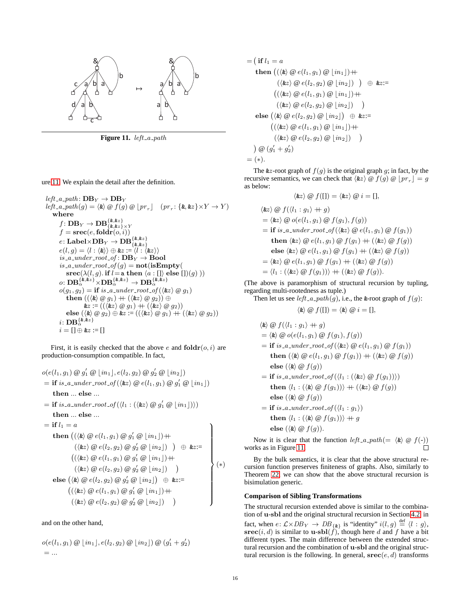

<span id="page-17-0"></span>**Figure 11.** *left a path*

ure [11.](#page-17-0) We explain the detail after the definition.

 $left_2$  *a\_path*:  $DB_Y \rightarrow DB_Y$  $left(a, b, c\right) = \langle \mathbf{k} \rangle \otimes f(g) \otimes [pr_r] \quad (pr_r: \{\mathbf{k}, \mathbf{k}z\} \times Y \to Y)$ **where**  $f\colon \mathbf{DB}_Y \to \mathbf{DB}^{\{ \& ,\&z\}}_{\{ \& ,\&z\} \times Y}$  $f = \text{spec}(e, \text{foldr}(o, i))$  $e\colon\mathbf{Label} \times \mathbf{DB}_Y \to \mathbf{DB}^{\{k,kz\}}_{\{k,kz\}}\ e(l,g) = \langle l:\langle k \rangle \rangle \oplus \& z := \langle l:\langle kz \rangle \rangle$  $is$ <sub>*-a*-under<sub>-</sub>root<sub>-</sub>of:  $DB$ <sub>*Y*</sub>  $\rightarrow$  **Bool**</sub>  $is$ <sub>*-a\_under\_root\_of*( $g$ ) =  $\textbf{not}(i)$ **Empty**(</sub> **srec**( $\lambda$ ( $l$ ,  $g$ ). **if**  $l =$ **a then**  $\langle a : \text{[} \rangle \text{ else } \text{[} \text{]} \rangle(g) \rangle$ )  $o\colon \mathbf{DB}^{\{k,kz\}}_{\alpha}\times\mathbf{DB}^{\{k,kz\}}_{\alpha}\to \mathbf{DB}^{\{k,kz\}}_{\alpha}$  $o(g_1, g_2) = \textbf{if } is\_a\_under\_root\_of(\langle \& z \rangle \ @\ g_1)$  $\mathbf{then} ((\langle \& \rangle \otimes g_1) + (\langle \& z \rangle \otimes g_2)) \oplus$  $\&z := ((\langle \&z \rangle \otimes g_1) + (\langle \&z \rangle \otimes g_2))$ **else**  $(\langle \& \rangle \otimes g_2) \oplus \& z := ((\langle \& z \rangle \otimes g_1) + (\langle \& z \rangle \otimes g_2))$ *i*: **DB***{*&*,*&*z} α i* = [] *⊕* &*z* := []

First, it is easily checked that the above  $e$  and  $\text{foldr}(o, i)$  are production-consumption compatible. In fact,

$$
o(e(l_1, g_1) \otimes g'_1 \otimes \lfloor in_1 \rfloor, e(l_2, g_2) \otimes g'_2 \otimes \lfloor in_2 \rfloor)
$$
\n
$$
= \text{if } is\_a\_under\_root\_of(\langle \& z \rangle \otimes e(l_1, g_1) \otimes g'_1 \otimes \lfloor in_1 \rfloor)
$$
\n
$$
\text{then } \dots \text{ else } \dots
$$
\n
$$
= \text{if } is\_a\_under\_root\_of(\langle l_1 : (\langle \& z \rangle \otimes g'_1 \otimes \lfloor in_1 \rfloor) \rangle)
$$
\n
$$
\text{then } \dots \text{ else } \dots
$$
\n
$$
= \text{if } l_1 = a
$$
\n
$$
\text{then } ((\langle \& \rangle \otimes e(l_1, g_1) \otimes g'_1 \otimes \lfloor in_1 \rfloor) + \langle \langle \& z \rangle \otimes e(l_2, g_2) \otimes g'_2 \otimes \lfloor in_2 \rfloor) ) \oplus \& z := \bigg( (\langle \& z \rangle \otimes e(l_1, g_1) \otimes g'_1 \otimes \lfloor in_2 \rfloor) + \langle \langle \& z \rangle \otimes e(l_2, g_2) \otimes g'_2 \otimes \lfloor in_2 \rfloor) \oplus \& z := \bigg( (\langle \& z \rangle \otimes e(l_1, g_1) \otimes g'_1 \otimes \lfloor in_2 \rfloor) + \langle \& z \rangle \otimes e(l_2, g_2) \otimes g'_2 \otimes \lfloor in_2 \rfloor) \bigg)
$$

and on the other hand,

$$
o(e(l_1, g_1) \circledcirc \, [in_1], e(l_2, g_2) \circledcirc [in_2]) \circledcirc (g'_1 + g'_2) = \dots
$$

$$
= \left( \begin{array}{c} \text{if } l_1 = a \\ \text{then } \left( (\langle \& \rangle \ @ e(l_1, g_1) \ @ \ [in_1] \right) \right) + \\ \left( \langle \& z \rangle \ @ e(l_2, g_2) \ @ \ [in_2] \right) \ \right) \ \oplus \ \& z := \\ \left( (\langle \& z \rangle \ @ e(l_1, g_1) \ @ \ [in_1] \right) + \\ \left( \langle \& z \rangle \ @ e(l_2, g_2) \ @ \ [in_2] \right) \ \right) \\ \text{else } \left( \langle \& \rangle \ @ e(l_2, g_2) \ @ \ [in_2] \right) \ \oplus \ \& z := \\ \left( (\langle \& z \rangle \ @ e(l_1, g_1) \ @ \ [in_1] \right) + \\ \left( \langle \& z \rangle \ @ e(l_2, g_2) \ @ \ [in_2] \right) \ \right) \\ \big) \ @ \ (g'_1 + g'_2) \\ = (*). \end{array}
$$

The  $\&z$ -root graph of  $f(g)$  is the original graph  $g$ ; in fact, by the recursive semantics, we can check that  $\langle x \rangle \otimes f(g) \otimes [pr_r] = g$ as below:

$$
\langle xz \rangle \otimes f([1]) = \langle xz \rangle \otimes i = [1],
$$

$$
\langle \mathbf{k} z \rangle \n\mathcal{Q} f(\langle l_1 : g_1 \rangle + g)
$$
\n
$$
= \langle \mathbf{k} z \rangle \n\mathcal{Q} o(e(l_1, g_1) \n\mathcal{Q} f(g_1), f(g))
$$
\n
$$
= \mathbf{if} \text{ is a under-root-of}(\langle \mathbf{k} z \rangle \n\mathcal{Q} e(l_1, g_1) \n\mathcal{Q} f(g_1))
$$
\n
$$
\mathbf{then} \langle \mathbf{k} z \rangle \n\mathcal{Q} e(l_1, g_1) \n\mathcal{Q} f(g_1) + (\langle \mathbf{k} z \rangle \n\mathcal{Q} f(g))
$$
\n
$$
= \langle \mathbf{k} z \rangle \n\mathcal{Q} e(l_1, g_1) \n\mathcal{Q} f(g_1) + (\langle \mathbf{k} z \rangle \n\mathcal{Q} f(g))
$$
\n
$$
= \langle \mathbf{k} z \rangle \n\mathcal{Q} e(l_1, g_1) \n\mathcal{Q} f(g_1) + (\langle \mathbf{k} z \rangle \n\mathcal{Q} f(g))
$$
\n
$$
= \langle l_1 : (\langle \mathbf{k} z \rangle \n\mathcal{Q} f(g_1)) \rangle + (\langle \mathbf{k} z \rangle \n\mathcal{Q} f(g)).
$$

(The above is paramorphism of structural recursion by tupling, regarding multi-rootedness as tuple.)

Then let us see *left\_a\_path* $(g)$ , i.e., the &-root graph of  $f(g)$ : *⟨*&*⟩* @ *f*([]) = *⟨*&*⟩* @ *i* = []*,*

$$
\langle \& \rangle \, \omega \, f(\sqcup) = \langle \& \rangle \, \omega \, i = \sqcup,
$$

$$
\langle \mathbf{z} \rangle \otimes f(\langle l_1 : g_1 \rangle + g)
$$
\n
$$
= \langle \mathbf{z} \rangle \otimes o(e(l_1, g_1) \otimes f(g_1), f(g))
$$
\n
$$
= \mathbf{if} \, is.a. \, under\, root \, of \, (\langle \mathbf{z} \rangle \otimes e(l_1, g_1) \otimes f(g_1))
$$
\n
$$
= \mathbf{then} \, (\langle \mathbf{z} \rangle \otimes e(l_1, g_1) \otimes f(g_1) \rangle + (\langle \mathbf{z} \rangle \otimes f(g))
$$
\n
$$
= \mathbf{else} \, (\langle \mathbf{z} \rangle \otimes f(g))
$$
\n
$$
= \mathbf{if} \, is.a. \, under\, root \, of \, (\langle l_1 : (\langle \mathbf{z} \rangle \otimes f(g_1)) \rangle)
$$
\n
$$
= \mathbf{then} \, \langle l_1 : (\langle \mathbf{z} \rangle \otimes f(g_1)) \rangle + (\langle \mathbf{z} \rangle \otimes f(g))
$$
\n
$$
= \mathbf{else} \, (\langle \mathbf{z} \rangle \otimes f(g))
$$
\n
$$
= \mathbf{if} \, is.a. \, under\, root \, of \, (\langle l_1 : g_1 \rangle)
$$

**then**  $\langle l_1 : (\langle \& \rangle \otimes f(g_1)) \rangle + g$ 

$$
else (\langle k \rangle \oslash f(g)).
$$

Now it is clear that the function  $left \arrow (\&) \otimes f(-))$ works as in Figure [11.](#page-17-0)

By the bulk semantics, it is clear that the above structural recursion function preserves finiteness of graphs. Also, similarly to Theorem [22,](#page-13-2) we can show that the above structural recursion is bisimulation generic.

## **Comparison of Sibling Transformations**

The structural recursion extended above is similar to the combination of **u**-**sbl** and the original structural recursion in Section [4.2.](#page-12-1) in fact, when  $e: \mathcal{L} \times DB_Y \rightarrow DB_{\{\&\}}$  is "identity"  $i(l, g) \stackrel{\text{def}}{=} \langle l : g \rangle$ ,  $\textbf{spec}(i, d)$  is similar to **u**-**sbl**(*f*), though here *d* and *f* have a bit different types. The main difference between the extended structural recursion and the combination of **u**-**sbl** and the original structural recursion is the following. In general,  $\text{spec}(e, d)$  transforms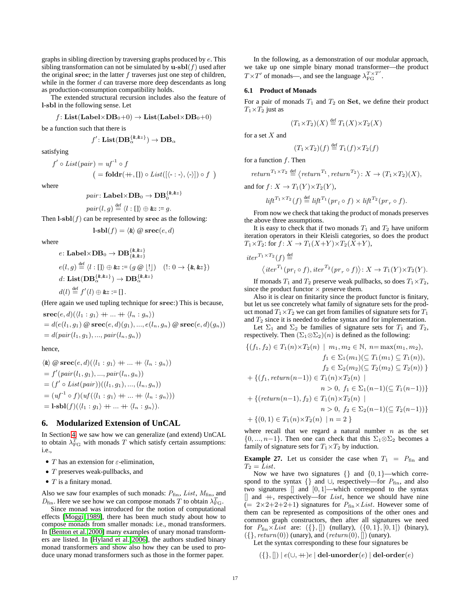graphs in sibling direction by traversing graphs produced by *e*. This sibling transformation can not be simulated by  $\mathbf{u}\text{-}\mathbf{sb}(\mathbf{f})$  used after the original **srec**; in the latter *f* traverses just one step of children, while in the former *d* can traverse more deep descendants as long as production-consumption compatibility holds.

The extended structural recursion includes also the feature of **l**-**sbl** in the following sense. Let

$$
f
$$
: List(Label×DB<sub>0</sub>+0)  $\rightarrow$  List(Label×DB<sub>0</sub>+0)

be a function such that there is

$$
f'\colon \mathbf{List}(\mathbf{DB}_{\alpha}^{\{\pmb{k},\pmb{k}z\}})\to \mathbf{DB}_{\alpha}
$$

satisfying

$$
f' \circ List(pair) = uf^{-1} \circ f
$$
  

$$
= foldr(+, []) \circ List([(-: \cdot \rangle, \langle \cdot \rangle]) \circ f )
$$

where

 $pair \colon \mathbf{Label} \times \mathbf{DB}_0 \to \mathbf{DB}_0^{\{ \& , \& z \}}$ 

$$
pair(l,g) \stackrel{\text{def}}{=} \langle l : [] \rangle \oplus \& z := g.
$$

Then  $\textbf{l}$ **-sbl**(*f*) can be represented by **srec** as the following:

$$
1\text{-}sb1(f) = \langle \& \rangle \oslash \text{spec}(e,d)
$$

where

$$
e: \text{Label} \times \text{DB}_0 \to \text{DB}_{\{k,kz\}}^{\{k,kz\}}
$$
  
\n
$$
e(l,g) \stackrel{\text{def}}{=} \langle l : [] \rangle \oplus \& z := (g \circledast \lfloor ! \rfloor) \quad (!: 0 \to \{\& kz\})
$$
  
\n
$$
d: \text{List}(\text{DB}_{\alpha}^{\{\& kz\}}) \to \text{DB}_{\alpha}^{\{\& kz\}}
$$
  
\n
$$
d(l) \stackrel{\text{def}}{=} f'(l) \oplus \& z := [] .
$$

(Here again we used tupling technique for **srec**:) This is because,  $\textbf{spec}(e, d)(\langle l_1 : q_1 \rangle + \ldots + \langle l_n : q_n \rangle)$ 

$$
= d(e(l_1, g_1) \circledast \text{spec}(e, d)(g_1), ..., e(l_n, g_n) \circledast \text{spec}(e, d)(g_n))
$$
  
=  $d(pair(l_1, g_1), ..., pair(l_n, g_n))$ 

hence,

$$
\langle \mathbf{\&} \rangle \otimes \mathbf{spec}(e, d) (\langle l_1 : g_1 \rangle + \dots + \langle l_n : g_n \rangle)
$$
  
=  $f'(pair(l_1, g_1), ..., pair(l_n, g_n))$   
=  $(f' \circ List(pair))((l_1, g_1), ..., (l_n, g_n))$   
=  $(uf^{-1} \circ f)(uf(\langle l_1 : g_1 \rangle + \dots + \langle l_n : g_n \rangle))$   
= **1-sbl** $(f)(\langle l_1 : g_1 \rangle + \dots + \langle l_n : g_n \rangle).$ 

# <span id="page-18-0"></span>**6. Modularized Extension of UnCAL**

In Section [4,](#page-9-0) we saw how we can generalize (and extend) UnCAL to obtain  $\lambda_{\text{FG}}^T$  with monads *T* which satisfy certain assumptions: i.e.,

- *• T* has an extension for *ε*-elimination,
- *• T* preserves weak-pullbacks, and
- *• T* is a finitary monad.

Also we saw four examples of such monads:  $P_{fin}$ , *List*,  $M_{fin}$ , and  $D_{\text{fin}}$ . Here we see how we can compose monads *T* to obtain  $\lambda_{\text{FG}}^T$ .

Since monad was introduced for the notion of computational effects [\[Moggi](#page-20-9) [1989\]](#page-20-9), there has been much study about how to compose monads from smaller monads: i.e., monad transformers. In [\[Benton et al.](#page-20-8) [2000\]](#page-20-8) many examples of unary monad transformers are listed. In [\[Hyland et al.](#page-20-23) [2006\]](#page-20-23), the authors studied binary monad transformers and show also how they can be used to produce unary monad transformers such as those in the former paper.

In the following, as a demonstration of our modular approach, we take up one simple binary monad transformer—the product *T*  $\times$  *T'* of monads—, and see the language  $\lambda_{FG}^{T} \times T'$ .

#### **6.1 Product of Monads**

For a pair of monads  $T_1$  and  $T_2$  on **Set**, we define their product  $T_1 \times T_2$  just as

$$
(T_1 \times T_2)(X) \stackrel{\text{def}}{=} T_1(X) \times T_2(X)
$$

for a set *X* and

*ite* 

$$
(T_1 \times T_2)(f) \stackrel{\text{def}}{=} T_1(f) \times T_2(f)
$$

for a function *f*. Then

$$
return^{T_1 \times T_2} \stackrel{\text{def}}{=} \left\langle return^{T_1}, return^{T_2} \right\rangle: X \to (T_1 \times T_2)(X),
$$

and for  $f: X \to T_1(Y) \times T_2(Y)$ ,

$$
lift^{T_1 \times T_2}(f) \stackrel{\text{def}}{=} lift^{T_1}(pr_l \circ f) \times lift^{T_2}(pr_r \circ f).
$$

From now we check that taking the product of monads preserves the above three assumptions.

It is easy to check that if two monads  $T_1$  and  $T_2$  have uniform iteration operators in their Kleisli categories, so does the product  $T_1 \times T_2$ : for  $f: X \to T_1(X+Y) \times T_2(X+Y)$ ,

$$
r^{T_1 \times T_2}(f) \stackrel{\text{def}}{=} \langle iter^{T_1}(pr_l \circ f), iter^{T_2}(pr_r \circ f) \rangle \colon X \to T_1(Y) \times T_2(Y).
$$

If monads  $T_1$  and  $T_2$  preserve weak pullbacks, so does  $T_1 \times T_2$ , since the product functor  $\times$  preserve them.

Also it is clear on finitarity since the product functor is finitary, but let us see concretely what family of signature sets for the product monad  $T_1 \times T_2$  we can get from families of signature sets for  $T_1$ and *T*<sup>2</sup> since it is needed to define syntax and for implementation.

Let  $\Sigma_1$  and  $\Sigma_2$  be families of signature sets for  $T_1$  and  $T_2$ , respectively. Then  $(\Sigma_1 \otimes \Sigma_2)(n)$  is defined as the following:

$$
\{(f_1, f_2) \in T_1(n) \times T_2(n) \mid m_1, m_2 \in \mathbb{N}, n = \max(m_1, m_2), \nf_1 \in \Sigma_1(m_1) (\subseteq T_1(m_1) \subseteq T_1(n)), \nf_2 \in \Sigma_2(m_2) (\subseteq T_2(m_2) \subseteq T_2(n)) \}
$$

$$
+ \{(f_1, return(n-1)) \in T_1(n) \times T_2(n) \mid \nn > 0, f_1 \in \Sigma_1(n-1) (\subseteq T_1(n-1)) \}
$$

$$
+ \{(return(n-1), f_2) \in T_1(n) \times T_2(n) \mid \nn > 0, f_2 \in \Sigma_2(n-1) (\subseteq T_2(n-1)) \}
$$

$$
+ \{(0, 1) \in T_1(n) \times T_2(n) \mid n = 2 \}
$$

where recall that we regard a natural number *n* as the set  $\{0, ..., n-1\}$ . Then one can check that this  $\Sigma_1 \otimes \Sigma_2$  becomes a family of signature sets for  $T_1 \times T_2$  by induction.

**Example 27.** Let us consider the case when  $T_1 = P_{fin}$  and  $T_2 = List.$ 

Now we have two signatures *{}* and *{*0*,* 1*}*—which correspond to the syntax {} and ∪, respectively—for  $P_{fin}$ , and also two signatures  $\begin{bmatrix} 1 \\ 0 \\ 1 \end{bmatrix}$  —which correspond to the syntax  $\parallel$  and  $\parallel$ , respectively—for *List*, hence we should have nine (=  $2 \times 2 + 2 + 2 + 1$ ) signatures for  $P_{fin} \times List$ . However some of them can be represented as compositions of the other ones and common graph constructors, then after all signatures we need for  $P_{fin} \times List$  are: ({}, []) (nullary), ({0,1}, [0, 1]) (binary), (*{}, return*(0)) (unary), and (*return*(0)*,* []) (unary).

Let the syntax corresponding to these four signatures be

(*{},* []) *| e*(*∪,* ++)*e |* **del**-**unorder**(*e*) *|* **del**-**order**(*e*)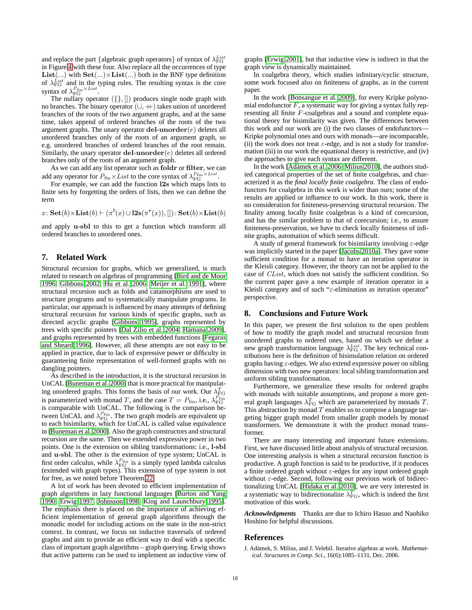and replace the part *{*algebraic graph operators*}* of syntax of *λ List* FG in Figure [4](#page-5-2) with these four. Also replace all the occurrences of type **List**(...) with  $\textbf{Set}(\ldots) \times \textbf{List}(\ldots)$  both in the BNF type definition of  $\lambda_{\text{FG}}^{List}$  and in the typing rules. The resulting syntax is the core syntax of  $\lambda_{\text{FG}}^{P_{\text{fin}} \times List}$ .

The nullary operator (*{},* []) produces single node graph with no branches. The binary operator (*∪,* ++) takes union of unordered branches of the roots of the two argument graphs, and at the same time, takes append of ordered branches of the roots of the two argument graphs. The unary operator **del**-**unorder**(*e*) deletes all unordered branches only of the roots of an argument graph, so e.g. unordered branches of ordered branches of the root remain. Similarly, the unary operator **del**-**unorder**(*e*) deletes all ordered branches only of the roots of an argument graph.

As we can add any list operator such as **foldr** or **filter**, we can add any operator for  $P_{\text{fin}} \times List$  to the core syntax of  $\lambda_{\text{FG}}^{P_{\text{fin}} \times List}$ .

For example, we can add the function **l2s** which maps lists to finite sets by forgetting the orders of lists, then we can define the term

 $x:$  **Set**(*b*) $\times$ **List**(*b*)  $\vdash (\pi^{\mathbf{l}}(x) \cup \mathbf{l2s}(\pi^{\mathbf{r}}(x)),[]):$  **Set**(*b*) $\times$ **List**(*b*)

and apply **u**-**sbl** to this to get a function which transform all ordered branches to unordered ones.

# <span id="page-19-0"></span>**7. Related Work**

Structural recursion for graphs, which we generalized, is much related to research on algebras of programming [\[Bird and de Moor](#page-20-1) [1996;](#page-20-1) [Gibbons](#page-20-24) [2002;](#page-20-24) [Hu et al.](#page-20-3) [2006;](#page-20-3) [Meijer et al.](#page-20-0) [1991\]](#page-20-0), where structural recursion such as folds and catamorphisms are used to structure programs and to systematically manipulate programs. In particular, our approach is influenced by many attempts of defining structural recursion for various kinds of specific graphs, such as directed acyclic graphs [\[Gibbons](#page-20-4) [1995\]](#page-20-4), graphs represented by trees with specific pointers [\[Dal Zilio et al.](#page-20-25) [2004;](#page-20-25) [Hamana](#page-20-26) [2009\]](#page-20-26), and graphs represented by trees with embedded functions [\[Fegaras](#page-20-27) [and Sheard](#page-20-27) [1996\]](#page-20-27). However, all these attempts are not easy to be applied in practice, due to lack of expressive power or difficulty in guaranteeing finite representation of well-formed graphs with no dangling pointers.

As described in the introduction, it is the structural recursion in UnCAL [\[Buneman et al.](#page-20-5) [2000\]](#page-20-5) that is more practical for manipulating unordered graphs. This forms the basis of our work. Our  $\lambda_{\text{FG}}^T$ is parameterized with monad *T*, and the case  $T = P_{fin}$ , i.e.,  $\lambda_{FG}^{P_{fin}}$ is comparable with UnCAL. The following is the comparison between UnCAL and  $\lambda_{FG}^{P_{fin}}$ . The two graph models are equivalent up to each bisimilarity, which for UnCAL is called value equivalence in [\[Buneman et al.](#page-20-5) [2000\]](#page-20-5). Also the graph constructors and structural recursion are the same. Then we extended expressive power in two points. One is the extension on sibling transformations: i.e., **l**-**sbl** and **u**-**sbl**. The other is the extension of type system; UnCAL is first order calculus, while  $\lambda_{\text{FG}}^{P_{\text{fin}}}$  is a simply typed lambda calculus (extended with graph types). This extension of type system is not for free, as we noted before Theorem [22.](#page-13-2)

A lot of work has been devoted to efficient implementation of graph algorithms in lazy functional languages [\[Burton and Yang](#page-20-28) [1990;](#page-20-28) [Erwig](#page-20-29) [1997;](#page-20-29) [Johnsson](#page-20-30) [1998;](#page-20-30) [King and Launchbury](#page-20-31) [1995\]](#page-20-31). The emphasis there is placed on the importance of achieving efficient implementation of general graph algorithms through the monadic model for including actions on the state in the non-strict context. In contrast, we focus on inductive traversals of ordered graphs and aim to provide an efficient way to deal with a specific class of important graph algorithms – graph querying. Erwig shows that active patterns can be used to implement an inductive view of graphs [\[Erwig](#page-20-32) [2001\]](#page-20-32), but that inductive view is indirect in that the graph view is dynamically maintained.

In coalgebra theory, which studies infinitary/cyclic structure, some work focused also on finiteness of graphs, as in the current paper.

In the work [\[Bonsangue et al.](#page-20-33) [2009\]](#page-20-33), for every Kripke polynomial endofunctor  $F$ , a systematic way for giving a syntax fully representing all finite *F*-coalgebras and a sound and complete equational theory for bisimilarity was given. The differences between this work and our work are (i) the two classes of endofunctors— Kripke polynomial ones and ours with monads—are incomparable, (ii) the work does not treat  $\varepsilon$ -edge, and is not a study for transformation (iii) in our work the equational theory is restrictive, and (iv) the approaches to give each syntax are different.

In the work [Adámek et al. [2006;](#page-19-2) [Milius](#page-20-22) [2010\]](#page-20-22), the authors studied categorical properties of the set of finite coalgebras, and characterized it as the *final locally finite coalgebra*. The class of endofunctors for coalgebra in this work is wider than ours; some of the results are applied or influence to our work. In this work, there is no consideration for finiteness-preserving structural recursion. The finality among locally finite coalgebras is a kind of corecursion, and has the similar problem to that of corecursion; i.e., to assure finiteness-preservation, we have to check locally finiteness of infinite graphs, automation of which seems difficult.

A study of general framework for bisimilarity involving *ε*-edge was implicitly started in the paper [\[Jacobs](#page-20-18) [2010a\]](#page-20-18). They gave some sufficient condition for a monad to have an iteration operator in the Kleisli category. However, the theory can not be applied to the case of *CList*, which does not satisfy the sufficient condition. So the current paper gave a new example of iteration operator in a Kleisli category and of such "*ε*-elimination as iteration operator" perspective.

## <span id="page-19-1"></span>**8. Conclusions and Future Work**

In this paper, we present the first solution to the open problem of how to modify the graph model and structural recursion from unordered graphs to ordered ones, based on which we define a new graph transformation language *λ List* FG . The key technical contributions here is the definition of bisimulation relation on ordered graphs having *ε*-edges. We also extend expressive power on sibling dimension with two new operators: local sibling transformation and uniform sibling transformation.

Furthermore, we generalize these results for ordered graphs with monads with suitable assumptions, and propose a more general graph languages  $\lambda_{\rm FG}^T$  which are parameterized by monads  $T$ . This abstraction by monad *T* enables us to compose a language targeting bigger graph model from smaller graph models by monad transformers. We demonstrate it with the product monad transformer.

There are many interesting and important future extensions. First, we have discussed little about analysis of structural recursion. One interesting analysis is when a structural recursion function is productive. A graph function is said to be productive, if it produces a finite ordered graph without *ε*-edges for any input ordered graph without *ε*-edge. Second, following our previous work of bidirectionalizing UnCAL [\[Hidaka et al.](#page-20-34) [2010\]](#page-20-34), we are very interested in a systematic way to bidirectionalize  $\lambda_{\text{FG}}^T$ , which is indeed the first motivation of this work.

*Acknowledgments* Thanks are due to Ichiro Hasuo and Naohiko Hoshino for helpful discussions.

### **References**

<span id="page-19-2"></span>J. Adámek, S. Milius, and J. Velebil. Iterative algebras at work. *Mathematical. Structures in Comp. Sci.*, 16(6):1085–1131, Dec. 2006.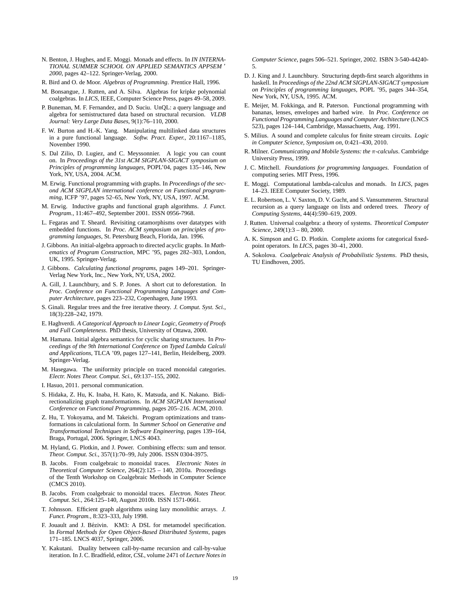- <span id="page-20-8"></span>N. Benton, J. Hughes, and E. Moggi. Monads and effects. In *IN INTERNA-TIONAL SUMMER SCHOOL ON APPLIED SEMANTICS APPSEM* ' *2000*, pages 42–122. Springer-Verlag, 2000.
- <span id="page-20-1"></span>R. Bird and O. de Moor. *Algebras of Programming*. Prentice Hall, 1996.
- <span id="page-20-33"></span>M. Bonsangue, J. Rutten, and A. Silva. Algebras for kripke polynomial coalgebras. In *LICS*, IEEE, Computer Science Press, pages 49–58, 2009.
- <span id="page-20-5"></span>P. Buneman, M. F. Fernandez, and D. Suciu. UnQL: a query language and algebra for semistructured data based on structural recursion. *VLDB Journal: Very Large Data Bases*, 9(1):76–110, 2000.
- <span id="page-20-28"></span>F. W. Burton and H.-K. Yang. Manipulating multilinked data structures in a pure functional language. *Softw. Pract. Exper.*, 20:1167–1185, November 1990.
- <span id="page-20-25"></span>S. Dal Zilio, D. Lugiez, and C. Meyssonnier. A logic you can count on. In *Proceedings of the 31st ACM SIGPLAN-SIGACT symposium on Principles of programming languages*, POPL'04, pages 135–146, New York, NY, USA, 2004. ACM.
- <span id="page-20-29"></span>M. Erwig. Functional programming with graphs. In *Proceedings of the second ACM SIGPLAN international conference on Functional programming*, ICFP '97, pages 52–65, New York, NY, USA, 1997. ACM.
- <span id="page-20-32"></span>M. Erwig. Inductive graphs and functional graph algorithms. *J. Funct. Program.*, 11:467–492, September 2001. ISSN 0956-7968.
- <span id="page-20-27"></span>L. Fegaras and T. Sheard. Revisiting catamorphisms over datatypes with embedded functions. In *Proc. ACM symposium on principles of programming languages*, St. Petersburg Beach, Florida, Jan. 1996.
- <span id="page-20-4"></span>J. Gibbons. An initial-algebra approach to directed acyclic graphs. In *Mathematics of Program Construction*, MPC '95, pages 282–303, London, UK, 1995. Springer-Verlag.
- <span id="page-20-24"></span>J. Gibbons. *Calculating functional programs*, pages 149–201. Springer-Verlag New York, Inc., New York, NY, USA, 2002.
- <span id="page-20-2"></span>A. Gill, J. Launchbury, and S. P. Jones. A short cut to deforestation. In *Proc. Conference on Functional Programming Languages and Computer Architecture*, pages 223–232, Copenhagen, June 1993.
- <span id="page-20-6"></span>S. Ginali. Regular trees and the free iterative theory. *J. Comput. Syst. Sci.*, 18(3):228–242, 1979.
- <span id="page-20-13"></span>E. Haghverdi. *A Categorical Approach to Linear Logic, Geometry of Proofs and Full Completeness*. PhD thesis, University of Ottawa, 2000.
- <span id="page-20-26"></span>M. Hamana. Initial algebra semantics for cyclic sharing structures. In *Proceedings of the 9th International Conference on Typed Lambda Calculi and Applications*, TLCA '09, pages 127–141, Berlin, Heidelberg, 2009. Springer-Verlag.
- <span id="page-20-16"></span>M. Hasegawa. The uniformity principle on traced monoidal categories. *Electr. Notes Theor. Comput. Sci.*, 69:137–155, 2002.
- <span id="page-20-17"></span>I. Hasuo, 2011. personal communication.
- <span id="page-20-34"></span>S. Hidaka, Z. Hu, K. Inaba, H. Kato, K. Matsuda, and K. Nakano. Bidirectionalizing graph transformations. In *ACM SIGPLAN International Conference on Functional Programming*, pages 205–216. ACM, 2010.
- <span id="page-20-3"></span>Z. Hu, T. Yokoyama, and M. Takeichi. Program optimizations and transformations in calculational form. In *Summer School on Generative and Transformational Techniques in Software Engineering*, pages 139–164, Braga, Portugal, 2006. Springer, LNCS 4043.
- <span id="page-20-23"></span>M. Hyland, G. Plotkin, and J. Power. Combining effects: sum and tensor. *Theor. Comput. Sci.*, 357(1):70–99, July 2006. ISSN 0304-3975.
- <span id="page-20-18"></span>B. Jacobs. From coalgebraic to monoidal traces. *Electronic Notes in Theoretical Computer Science*, 264(2):125 – 140, 2010a. Proceedings of the Tenth Workshop on Coalgebraic Methods in Computer Science (CMCS 2010).
- <span id="page-20-20"></span>B. Jacobs. From coalgebraic to monoidal traces. *Electron. Notes Theor. Comput. Sci.*, 264:125–140, August 2010b. ISSN 1571-0661.
- <span id="page-20-30"></span>T. Johnsson. Efficient graph algorithms using lazy monolithic arrays. *J. Funct. Program.*, 8:323–333, July 1998.
- <span id="page-20-7"></span>F. Jouault and J. Bézivin. KM3: A DSL for metamodel specification. In *Formal Methods for Open Object-Based Distributed Systems*, pages 171–185. LNCS 4037, Springer, 2006.
- <span id="page-20-14"></span>Y. Kakutani. Duality between call-by-name recursion and call-by-value iteration. In J. C. Bradfield, editor, *CSL*, volume 2471 of *Lecture Notes in*

*Computer Science*, pages 506–521. Springer, 2002. ISBN 3-540-44240- 5.

- <span id="page-20-31"></span>D. J. King and J. Launchbury. Structuring depth-first search algorithms in haskell. In *Proceedings of the 22nd ACM SIGPLAN-SIGACT symposium on Principles of programming languages*, POPL '95, pages 344–354, New York, NY, USA, 1995. ACM.
- <span id="page-20-0"></span>E. Meijer, M. Fokkinga, and R. Paterson. Functional programming with bananas, lenses, envelopes and barbed wire. In *Proc. Conference on Functional Programming Languages and Computer Architecture* (LNCS 523), pages 124–144, Cambridge, Massachuetts, Aug. 1991.
- <span id="page-20-22"></span>S. Milius. A sound and complete calculus for finite stream circuits. *Logic in Computer Science, Symposium on*, 0:421–430, 2010.
- <span id="page-20-11"></span>R. Milner. *Communicating and Mobile Systems: the π-calculus*. Cambridge University Press, 1999.
- <span id="page-20-21"></span>J. C. Mitchell. *Foundations for programming languages*. Foundation of computing series. MIT Press, 1996.
- <span id="page-20-9"></span>E. Moggi. Computational lambda-calculus and monads. In *LICS*, pages 14–23. IEEE Computer Society, 1989.
- <span id="page-20-10"></span>E. L. Robertson, L. V. Saxton, D. V. Gucht, and S. Vansummeren. Structural recursion as a query language on lists and ordered trees. *Theory of Computing Systems*, 44(4):590–619, 2009.
- <span id="page-20-12"></span>J. Rutten. Universal coalgebra: a theory of systems. *Theoretical Computer Science*, 249(1):3 – 80, 2000.
- <span id="page-20-15"></span>A. K. Simpson and G. D. Plotkin. Complete axioms for categorical fixedpoint operators. In *LICS*, pages 30–41, 2000.
- <span id="page-20-19"></span>A. Sokolova. *Coalgebraic Analysis of Probabilistic Systems*. PhD thesis, TU Eindhoven, 2005.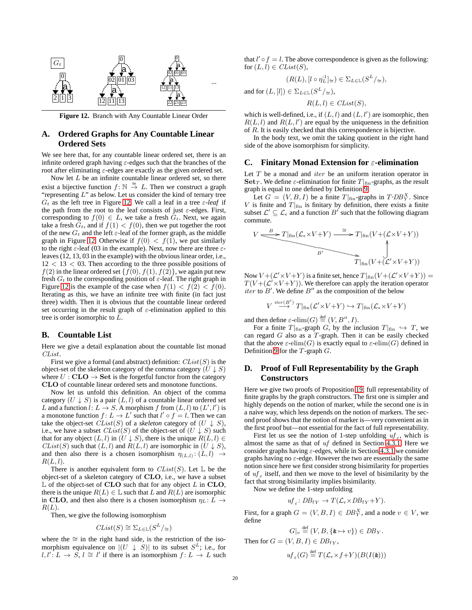

<span id="page-21-4"></span>**Figure 12.** Branch with Any Countable Linear Order

# <span id="page-21-0"></span>**A. Ordered Graphs for Any Countable Linear Ordered Sets**

We see here that, for any countable linear ordered set, there is an infinite ordered graph having *ε*-edges such that the branches of the root after eliminating *ε*-edges are exactly as the given ordered set.

Now let *L* be an infinite countable linear ordered set, so there exist a bijective function  $f: \mathbb{N} \stackrel{\cong}{\to} L$ . Then we construct a graph "representing *L*" as below. Let us consider the kind of ternary tree *G<sup>t</sup>* as the left tree in Figure [12.](#page-21-4) We call a leaf in a tree *ε-leaf* if the path from the root to the leaf consists of just *ε*-edges. First, corresponding to  $f(0) \in L$ , we take a fresh  $G_t$ . Next, we again take a fresh  $G_t$ , and if  $f(1) < f(0)$ , then we put together the root of the new  $G_t$  and the left  $\varepsilon$ -leaf of the former graph, as the middle graph in Figure [12.](#page-21-4) Otherwise if  $f(0) < f(1)$ , we put similarly to the right *ε*-leaf (03 in the example). Next, now there are three *ε*leaves (12, 13, 03 in the example) with the obvious linear order, i.e., 12 *<* 13 *<* 03. Then according to the three possible positions of  $f(2)$  in the linear ordered set  $\{f(0), f(1), f(2)\}\)$ , we again put new fresh  $G_t$  to the corresponding position of  $\varepsilon$ -leaf. The right graph in Figure [12](#page-21-4) is the example of the case when  $f(1) < f(2) < f(0)$ . Iterating as this, we have an infinite tree with finite (in fact just three) width. Then it is obvious that the countable linear ordered set occurring in the result graph of *ε*-elimination applied to this tree is order isomorphic to *L*.

# <span id="page-21-1"></span>**B. Countable List**

Here we give a detail explanation about the countable list monad *CList*.

First we give a formal (and abstract) definition: *CList*(*S*) is the object-set of the skeleton category of the comma category  $(U \downarrow S)$ where  $U : \mathbf{CLO} \to \mathbf{Set}$  is the forgetful functor from the category **CLO** of countable linear ordered sets and monotone functions.

Now let us unfold this definition. An object of the comma category  $(U \downarrow S)$  is a pair  $(L, l)$  of a countable linear ordered set *L* and a function  $l: L \to S$ . A morphism  $f$  from  $(L, l)$  to  $(L', l')$  is a monotone function  $f: L \to L'$  such that  $l' \circ f = l$ . Then we can take the object-set *CList*(*S*) of a *skeleton* category of  $(U \downarrow S)$ , i.e., we have a subset  $CList(S)$  of the object-set of  $(U \downarrow S)$  such that for any object  $(L, l)$  in  $(U \downarrow S)$ , there is the unique  $R(L, l) \in$ *CList*(*S*) such that  $(L, l)$  and  $R(L, l)$  are isomorphic in  $(U \downarrow S)$ , and then also there is a chosen isomorphism  $\eta(L,l) \rightarrow$  $R(L, l)$ .

There is another equivalent form to  $CList(S)$ . Let  $\mathbb L$  be the object-set of a skeleton category of **CLO**, i.e., we have a subset L of the object-set of **CLO** such that for any object *L* in **CLO**, there is the unique  $R(L) \in \mathbb{L}$  such that *L* and  $R(L)$  are isomorphic in **CLO**, and then also there is a chosen isomorphism  $\eta_L: L \to$ *R*(*L*).

Then, we give the following isomorphism

$$
Clist(S) \cong \Sigma_{L \in \mathbb{L}}(S^L/\simeq)
$$

where the *∼*= in the right hand side, is the restriction of the isomorphism equivalence on  $|(U \perp S)|$  to its subset  $S^L$ ; i.e., for  $l, l' : L \rightarrow S$ ,  $l \cong l'$  if there is an isomorphism  $f : L \rightarrow L$  such

that  $l' \circ f = l$ . The above correspondence is given as the following: for  $(L, l) \in \mathit{ClList}(S)$ ,

$$
(R(L), [l \circ \eta_L^{-1}] \leq) \in \Sigma_{L \in \mathbb{L}}(S^L/\simeq),
$$

and for  $(L, [l]) \in \Sigma_{L \in \mathbb{L}}(S^L/\simeq),$ 

$$
R(L, l) \in \mathit{Clist}(S),
$$

which is well-defined, i.e., if  $(L, l)$  and  $(L, l')$  are isomorphic, then  $R(L, l)$  and  $R(L, l')$  are equal by the uniqueness in the definition of *R*. It is easily checked that this correspondence is bijective.

In the body text, we omit the taking quotient in the right hand side of the above isomorphism for simplicity.

## <span id="page-21-3"></span>**C. Finitary Monad Extension for** *ε***-elimination**

Let *T* be a monad and *iter* be an uniform iteration operator in **Set***T*. We define *ε*-elimination for finite  $T|_{fin}$ -graphs, as the result graph is equal to one defined by Definition [9.](#page-8-1)

Let  $G = (V, B, I)$  be a finite  $T|_{fin}$ -graphs in  $T$ - $DB_Y^X$ . Since *V* is finite and  $T|_{fin}$  is finitary by definition, there exists a finite subset  $\mathcal{L}' \subseteq \mathcal{L}_{\epsilon}$  and a function  $B'$  such that the following diagram commute.

$$
V \xrightarrow{B} T |\text{fin}(\mathcal{L}_{\epsilon} \times V + Y) \xrightarrow{\cong} T |\text{fin}(V + (\mathcal{L} \times V + Y))
$$
\n
$$
T |\text{fin}(V + (\mathcal{L}' \times V + Y))
$$

Now  $V + (\mathcal{L}' \times V + Y)$  is a finite set, hence  $T|_{fin}(V + (\mathcal{L}' \times V + Y)) =$  $T(V + (\mathcal{L}^{\prime} \times V + Y))$ . We therefore can apply the iteration operator *iter* to  $B'$ . We define  $B''$  as the composition of the below

$$
V \stackrel{iter(B')}{\longrightarrow} T|_{\text{fin}}(\mathcal{L}' \times V + Y) \hookrightarrow T|_{\text{fin}}(\mathcal{L}_{\epsilon} \times V + Y)
$$

and then define  $\varepsilon$ -elim $(G) \stackrel{\text{def}}{=} (V, B'', I)$ .

For a finite  $T|_{fin}$ -graph *G*, by the inclusion  $T|_{fin} \hookrightarrow T$ , we can regard *G* also as a *T*-graph. Then it can be easily checked that the above  $\varepsilon$ -elim(*G*) is exactly equal to  $\varepsilon$ -elim(*G*) defined in Definition [9](#page-8-1) for the *T*-graph *G*.

# <span id="page-21-2"></span>**D. Proof of Full Representability by the Graph Constructors**

Here we give two proofs of Proposition [19:](#page-11-0) full representability of finite graphs by the graph constructors. The first one is simpler and highly depends on the notion of marker, while the second one is in a naive way, which less depends on the notion of markers. The second proof shows that the notion of marker is—very convenient as in the first proof but—not essential for the fact of full representability.

First let us see the notion of 1-step unfolding  $uf_{\varepsilon}$ , which is almost the same as that of *uf* defined in Section [4.3.1.](#page-13-3) Here we consider graphs having *ε*-edges, while in Section [4.3.1](#page-13-3) we consider graphs having no *ε*-edge. However the two are essentially the same notion since here we first consider strong bisimilarity for properties of  $uf_\varepsilon$  itself, and then we move to the level of bisimilarity by the fact that strong bisimilarity implies bisimilarity.

Now we define the 1-step unfolding

$$
uf_{\varepsilon} : DB_{fY} \to T(\mathcal{L}_{\varepsilon} \times DB_{fY} + Y).
$$

First, for a graph  $G = (V, B, I) \in DB_Y^X$ , and a node  $v \in V$ , we define

$$
G|_{v} \stackrel{\text{def}}{=} (V, B, \{ \& \mapsto v \}) \in DB_{Y}.
$$

Then for  $G = (V, B, I) \in DB_{fY}$ ,

$$
uf_{\varepsilon}(G) \stackrel{\text{def}}{=} T(\mathcal{L}_{\epsilon} \times f + Y)(B(I(\mathbf{k})))
$$